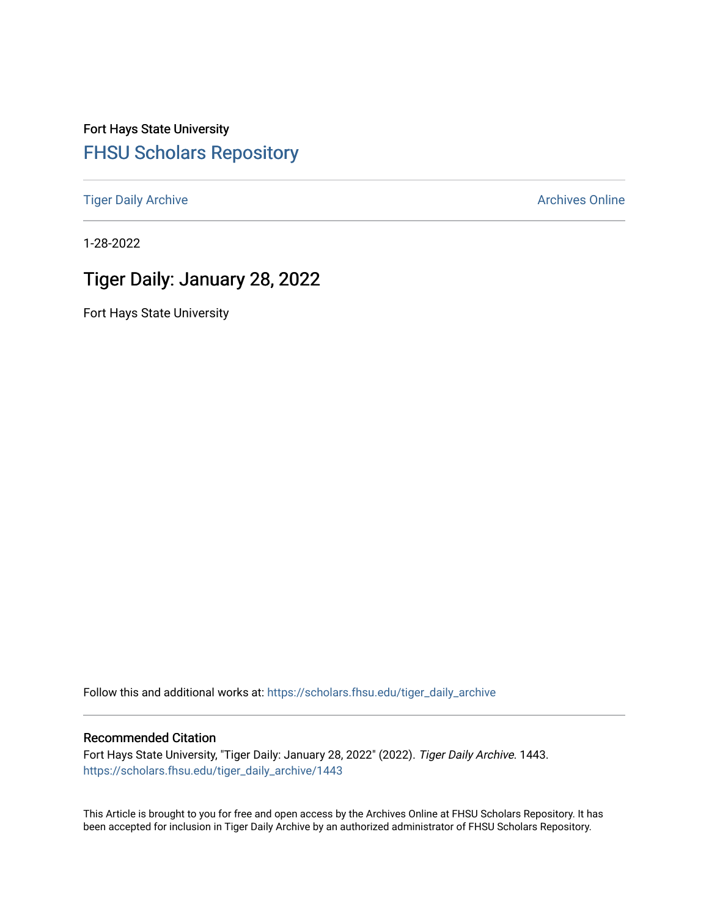Fort Hays State University [FHSU Scholars Repository](https://scholars.fhsu.edu/) 

[Tiger Daily Archive](https://scholars.fhsu.edu/tiger_daily_archive) **Archives** Online Archives Online

1-28-2022

# Tiger Daily: January 28, 2022

Fort Hays State University

Follow this and additional works at: [https://scholars.fhsu.edu/tiger\\_daily\\_archive](https://scholars.fhsu.edu/tiger_daily_archive?utm_source=scholars.fhsu.edu%2Ftiger_daily_archive%2F1443&utm_medium=PDF&utm_campaign=PDFCoverPages)

#### Recommended Citation

Fort Hays State University, "Tiger Daily: January 28, 2022" (2022). Tiger Daily Archive. 1443. [https://scholars.fhsu.edu/tiger\\_daily\\_archive/1443](https://scholars.fhsu.edu/tiger_daily_archive/1443?utm_source=scholars.fhsu.edu%2Ftiger_daily_archive%2F1443&utm_medium=PDF&utm_campaign=PDFCoverPages)

This Article is brought to you for free and open access by the Archives Online at FHSU Scholars Repository. It has been accepted for inclusion in Tiger Daily Archive by an authorized administrator of FHSU Scholars Repository.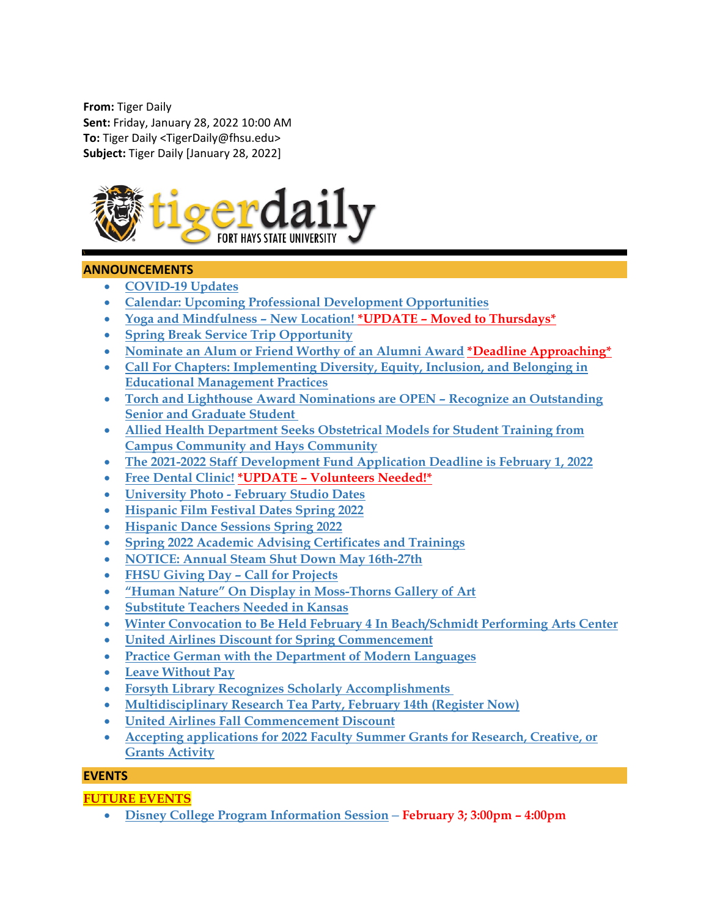**From:** Tiger Daily **Sent:** Friday, January 28, 2022 10:00 AM **To:** Tiger Daily <TigerDaily@fhsu.edu> **Subject:** Tiger Daily [January 28, 2022]



## **ANNOUNCEMENTS**

- **[COVID-19 Updates](#page-3-0)**
- **[Calendar: Upcoming Professional Development Opportunities](#page-3-1)**
- **[Yoga and Mindfulness –](#page-3-2) New Location! \*UPDATE – Moved to Thursdays\***
- **[Spring Break Service Trip Opportunity](#page-3-3)**
- **[Nominate an Alum or Friend Worthy of an Alumni Award](#page-3-4) \*Deadline Approaching\***
- **[Call For Chapters: Implementing Diversity, Equity, Inclusion, and Belonging in](#page-3-5)  [Educational Management Practices](#page-3-5)**
- **[Torch and Lighthouse Award Nominations are OPEN –](#page-4-0) Recognize an Outstanding [Senior and Graduate Student](#page-4-0)**
- **[Allied Health Department Seeks Obstetrical Models for Student Training from](#page-4-1)  [Campus Community and Hays](#page-4-1) Community**
- **[The 2021-2022 Staff Development Fund Application Deadline is February 1, 2022](#page-4-2)**
- **[Free Dental Clinic!](#page-5-0) \*UPDATE – Volunteers Needed!\***
- **University Photo - [February Studio Dates](#page-5-1)**
- **[Hispanic Film Festival Dates Spring 2022](#page-5-2)**
- **[Hispanic Dance Sessions Spring 2022](#page-6-0)**
- **[Spring 2022 Academic Advising Certificates and Trainings](#page-7-0)**
- **[NOTICE: Annual Steam Shut Down May 16th-27th](#page-8-0)**
- **[FHSU Giving Day –](#page-9-0) Call for Projects**
- **["Human Nature" On Display in Moss-Thorns Gallery of Art](#page-9-1)**
- **[Substitute Teachers Needed in Kansas](#page-9-2)**
- **[Winter Convocation to Be Held February 4 In Beach/Schmidt Performing Arts Center](#page-10-0)**
- **[United Airlines Discount for Spring Commencement](#page-10-1)**
- **[Practice German with the Department of Modern Languages](#page-10-2)**
- **[Leave Without Pay](#page-11-0)**
- **[Forsyth Library Recognizes Scholarly Accomplishments](#page-11-1)**
- **[Multidisciplinary Research Tea Party, February 14th \(Register Now\)](#page-11-2)**
- **[United Airlines Fall Commencement Discount](#page-11-3)**
- **[Accepting applications for 2022 Faculty Summer Grants for Research, Creative, or](#page-12-0)  [Grants Activity](#page-12-0)**

## **EVENTS**

## **FUTURE EVENTS**

• **[Disney College Program Information Session](#page-12-1) – February 3; 3:00pm – 4:00pm**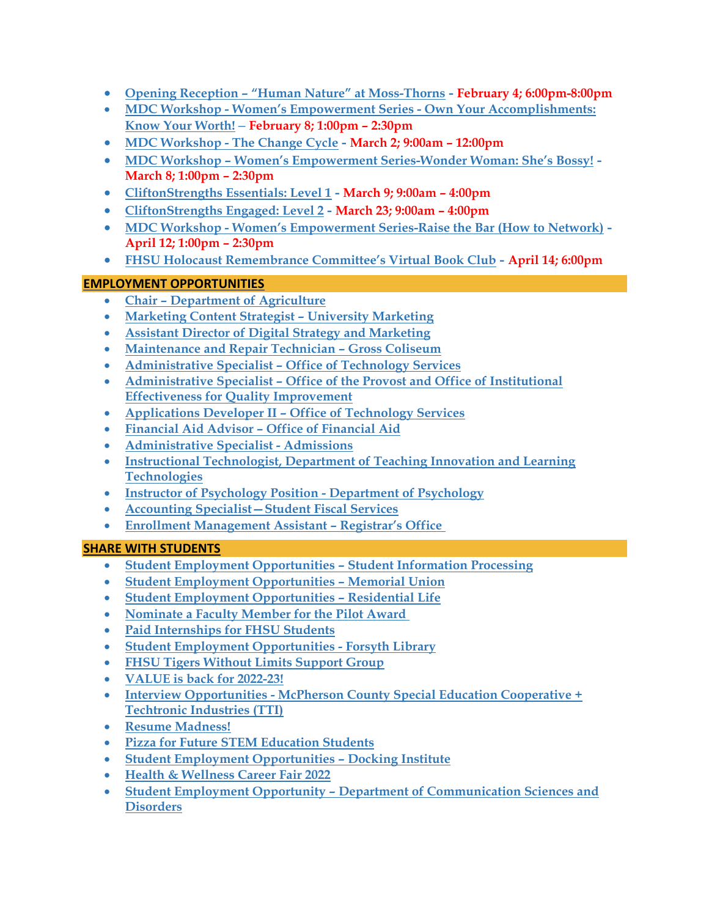- **Opening Reception – ["Human Nature" at Moss-Thorns](#page-12-2) - February 4; 6:00pm-8:00pm**
- **MDC Workshop - [Women's Empowerment Series -](#page-12-3) Own Your Accomplishments: [Know Your Worth!](#page-12-3) – February 8; 1:00pm – 2:30pm**
- **MDC Workshop - [The Change Cycle](#page-13-0) - March 2; 9:00am – 12:00pm**
- **MDC Workshop – [Women's Empowerment Series-Wonder](#page-13-1) Woman: She's Bossy! - March 8; 1:00pm – 2:30pm**
- **[CliftonStrengths Essentials: Level 1](#page-13-2) - March 9; 9:00am – 4:00pm**
- **[CliftonStrengths Engaged: Level 2](#page-13-3) - March 23; 9:00am – 4:00pm**
- **MDC Workshop - [Women's Empowerment Series-Raise](#page-14-0) the Bar (How to Network) - April 12; 1:00pm – 2:30pm**
- **[FHSU Holocaust Remembrance Committee's Virtual Book Club](#page-14-1) - April 14; 6:00pm**

## **EMPLOYMENT OPPORTUNITIES**

- **Chair – [Department of Agriculture](#page-14-2)**
- **[Marketing Content Strategist –](#page-14-3) University Marketing**
- **Assistant Director of [Digital Strategy and Marketing](#page-15-0)**
- **Maintenance and Repair Technician – Gross Coliseum**
- **Administrative Specialist – [Office of Technology Services](#page-15-1)**
- **Administrative Specialist – Office of the Provost and Office of Institutional Effectiveness for Quality Improvement**
- **Applications Developer II – [Office of Technology Services](#page-16-0)**
- **[Financial Aid Advisor –](#page-16-1) Office of Financial Aid**
- **[Administrative Specialist -](#page-17-0) Admissions**
- **[Instructional Technologist, Department of Teaching Innovation and Learning](#page-17-1)  [Technologies](#page-17-1)**
- **[Instructor of Psychology Position -](#page-18-0) Department of Psychology**
- **[Accounting Specialist—Student Fiscal Services](#page-18-1)**
- **[Enrollment Management Assistant –](#page-19-0) Registrar's Office**

## **SHARE WITH STUDENTS**

- **[Student Employment Opportunities –](#page-19-1) Student Information Processing**
- **[Student Employment Opportunities –](#page-19-2) Memorial Union**
- **[Student Employment Opportunities –](#page-19-3) Residential Life**
- **[Nominate a Faculty Member for the Pilot Award](#page-20-0)**
- **[Paid Internships for FHSU Students](#page-20-1)**
- **[Student Employment Opportunities -](#page-20-2) Forsyth Library**
- **[FHSU Tigers Without Limits Support Group](#page-22-0)**
- **[VALUE is back for 2022-23!](#page-22-1)**
- **Interview Opportunities - [McPherson County Special Education Cooperative +](#page-23-0)  [Techtronic Industries \(TTI\)](#page-23-0)**
- **[Resume Madness!](#page-23-1)**
- **[Pizza for Future STEM Education Students](#page-23-2)**
- **[Student Employment Opportunities –](#page-24-0) Docking Institute**
- **[Health & Wellness Career Fair 2022](#page-24-1)**
- **Student Employment Opportunity – [Department of Communication Sciences and](#page-25-0)  [Disorders](#page-25-0)**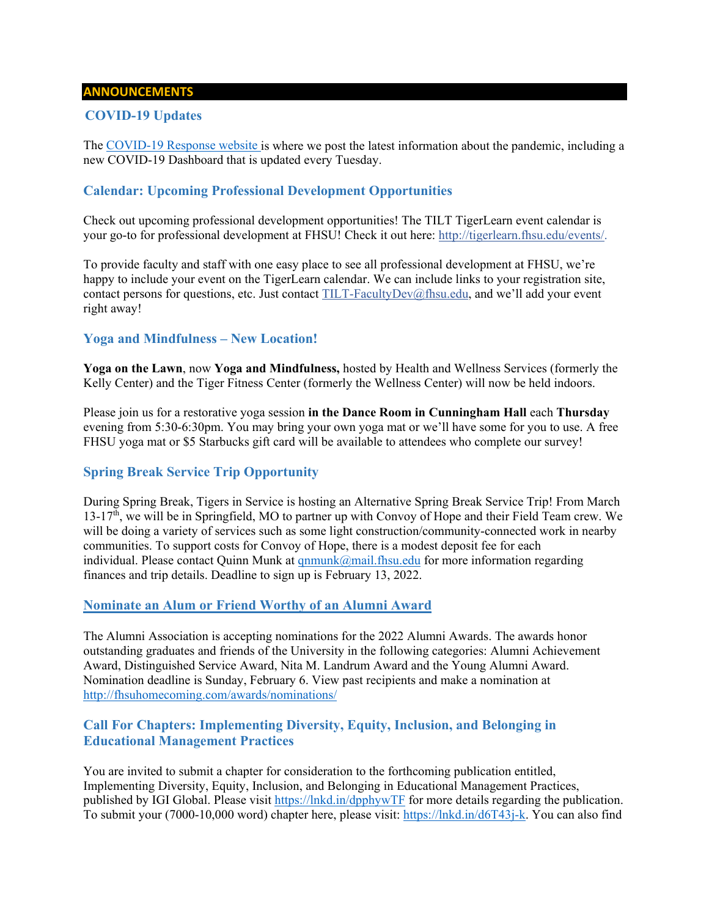#### **ANNOUNCEMENTS**

## <span id="page-3-0"></span>**COVID-19 Updates**

The [COVID-19 Response website](https://www.fhsu.edu/covid-19-response/index) is where we post the latest information about the pandemic, including a new COVID-19 Dashboard that is updated every Tuesday.

## <span id="page-3-1"></span>**Calendar: Upcoming Professional Development Opportunities**

Check out upcoming professional development opportunities! The TILT TigerLearn event calendar is your go-to for professional development at FHSU! Check it out here: [http://tigerlearn.fhsu.edu/events/.](http://tigerlearn.fhsu.edu/events/)

To provide faculty and staff with one easy place to see all professional development at FHSU, we're happy to include your event on the TigerLearn calendar. We can include links to your registration site, contact persons for questions, etc. Just contact [TILT-FacultyDev@fhsu.edu,](mailto:TILT-FacultyDev@fhsu.edu) and we'll add your event right away!

### <span id="page-3-2"></span>**Yoga and Mindfulness – New Location!**

**Yoga on the Lawn**, now **Yoga and Mindfulness,** hosted by Health and Wellness Services (formerly the Kelly Center) and the Tiger Fitness Center (formerly the Wellness Center) will now be held indoors.

Please join us for a restorative yoga session **in the Dance Room in Cunningham Hall** each **Thursday** evening from 5:30-6:30pm. You may bring your own yoga mat or we'll have some for you to use. A free FHSU yoga mat or \$5 Starbucks gift card will be available to attendees who complete our survey!

## <span id="page-3-3"></span>**Spring Break Service Trip Opportunity**

During Spring Break, Tigers in Service is hosting an Alternative Spring Break Service Trip! From March  $13-17<sup>th</sup>$ , we will be in Springfield, MO to partner up with Convoy of Hope and their Field Team crew. We will be doing a variety of services such as some light construction/community-connected work in nearby communities. To support costs for Convoy of Hope, there is a modest deposit fee for each individual. Please contact Quinn Munk at  $qnmunk@mail.fhsu.edu$  for more information regarding finances and trip details. Deadline to sign up is February 13, 2022.

#### <span id="page-3-4"></span>**Nominate an Alum or Friend Worthy of an Alumni Award**

The Alumni Association is accepting nominations for the 2022 Alumni Awards. The awards honor outstanding graduates and friends of the University in the following categories: Alumni Achievement Award, Distinguished Service Award, Nita M. Landrum Award and the Young Alumni Award. Nomination deadline is Sunday, February 6. View past recipients and make a nomination at <http://fhsuhomecoming.com/awards/nominations/>

## <span id="page-3-5"></span>**Call For Chapters: Implementing Diversity, Equity, Inclusion, and Belonging in Educational Management Practices**

You are invited to submit a chapter for consideration to the forthcoming publication entitled, Implementing Diversity, Equity, Inclusion, and Belonging in Educational Management Practices, published by IGI Global. Please visit<https://lnkd.in/dpphywTF> for more details regarding the publication. To submit your (7000-10,000 word) chapter here, please visit: [https://lnkd.in/d6T43j-k.](https://lnkd.in/d6T43j-k) You can also find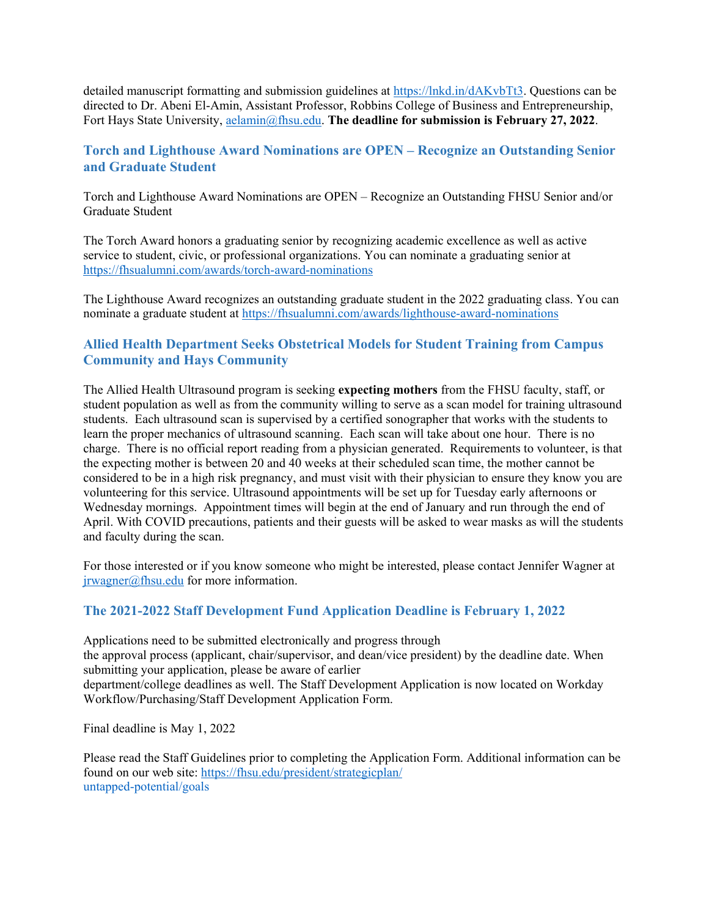detailed manuscript formatting and submission guidelines at [https://lnkd.in/dAKvbTt3.](https://lnkd.in/dAKvbTt3) Questions can be directed to Dr. Abeni El-Amin, Assistant Professor, Robbins College of Business and Entrepreneurship, Fort Hays State University, [aelamin@fhsu.edu.](mailto:aelamin@fhsu.edu) **The deadline for submission is February 27, 2022**.

## <span id="page-4-0"></span>**Torch and Lighthouse Award Nominations are OPEN – Recognize an Outstanding Senior and Graduate Student**

Torch and Lighthouse Award Nominations are OPEN – Recognize an Outstanding FHSU Senior and/or Graduate Student

The Torch Award honors a graduating senior by recognizing academic excellence as well as active service to student, civic, or professional organizations. You can nominate a graduating senior at <https://fhsualumni.com/awards/torch-award-nominations>

The Lighthouse Award recognizes an outstanding graduate student in the 2022 graduating class. You can nominate a graduate student at<https://fhsualumni.com/awards/lighthouse-award-nominations>

## <span id="page-4-1"></span>**Allied Health Department Seeks Obstetrical Models for Student Training from Campus Community and Hays Community**

The Allied Health Ultrasound program is seeking **expecting mothers** from the FHSU faculty, staff, or student population as well as from the community willing to serve as a scan model for training ultrasound students. Each ultrasound scan is supervised by a certified sonographer that works with the students to learn the proper mechanics of ultrasound scanning. Each scan will take about one hour. There is no charge. There is no official report reading from a physician generated. Requirements to volunteer, is that the expecting mother is between 20 and 40 weeks at their scheduled scan time, the mother cannot be considered to be in a high risk pregnancy, and must visit with their physician to ensure they know you are volunteering for this service. Ultrasound appointments will be set up for Tuesday early afternoons or Wednesday mornings. Appointment times will begin at the end of January and run through the end of April. With COVID precautions, patients and their guests will be asked to wear masks as will the students and faculty during the scan.

For those interested or if you know someone who might be interested, please contact Jennifer Wagner at [jrwagner@fhsu.edu](mailto:jrwagner@fhsu.edu) for more information.

## <span id="page-4-2"></span>**The 2021-2022 Staff Development Fund Application Deadline is February 1, 2022**

Applications need to be submitted electronically and progress through the approval process (applicant, chair/supervisor, and dean/vice president) by the deadline date. When submitting your application, please be aware of earlier department/college deadlines as well. The Staff Development Application is now located on Workday Workflow/Purchasing/Staff Development Application Form.

Final deadline is May 1, 2022

Please read the Staff Guidelines prior to completing the Application Form. Additional information can be found on our web site:<https://fhsu.edu/president/strategicplan/> untapped-potential/goals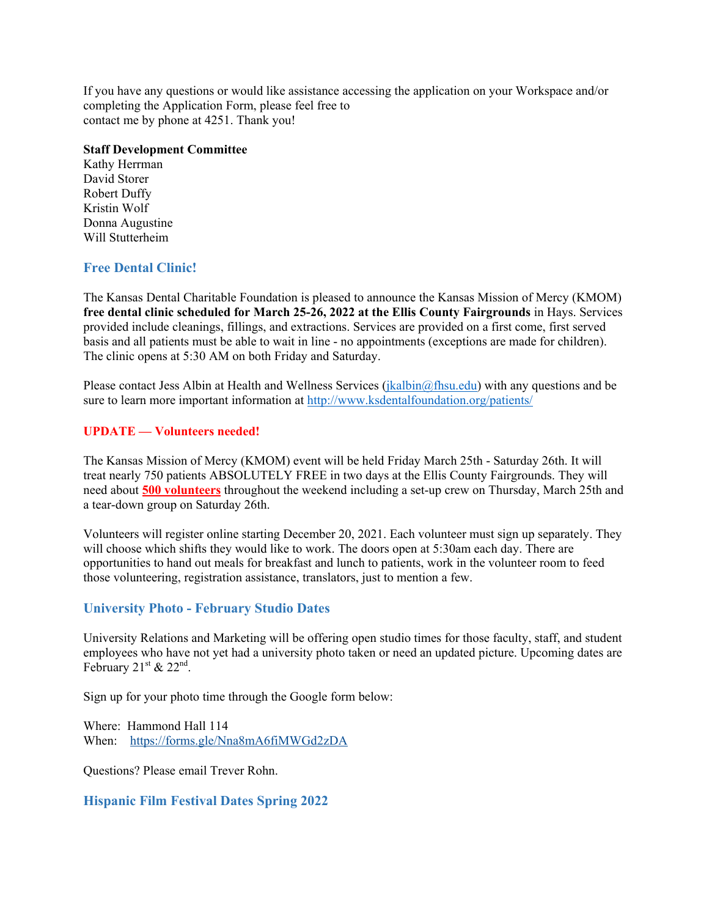If you have any questions or would like assistance accessing the application on your Workspace and/or completing the Application Form, please feel free to contact me by phone at 4251. Thank you!

#### **Staff Development Committee**

Kathy Herrman David Storer Robert Duffy Kristin Wolf Donna Augustine Will Stutterheim

## <span id="page-5-0"></span>**Free Dental Clinic!**

The Kansas Dental Charitable Foundation is pleased to announce the Kansas Mission of Mercy (KMOM) **free dental clinic scheduled for March 25-26, 2022 at the Ellis County Fairgrounds** in Hays. Services provided include cleanings, fillings, and extractions. Services are provided on a first come, first served basis and all patients must be able to wait in line - no appointments (exceptions are made for children). The clinic opens at 5:30 AM on both Friday and Saturday.

Please contact Jess Albin at Health and Wellness Services [\(jkalbin@fhsu.edu\)](mailto:jkalbin@fhsu.edu) with any questions and be sure to learn more important information at<http://www.ksdentalfoundation.org/patients/>

#### **UPDATE — Volunteers needed!**

The Kansas Mission of Mercy (KMOM) event will be held Friday March 25th - Saturday 26th. It will treat nearly 750 patients ABSOLUTELY FREE in two days at the Ellis County Fairgrounds. They will need about **500 volunteers** throughout the weekend including a set-up crew on Thursday, March 25th and a tear-down group on Saturday 26th.

Volunteers will register online starting December 20, 2021. Each volunteer must sign up separately. They will choose which shifts they would like to work. The doors open at 5:30am each day. There are opportunities to hand out meals for breakfast and lunch to patients, work in the volunteer room to feed those volunteering, registration assistance, translators, just to mention a few.

## <span id="page-5-1"></span>**University Photo - February Studio Dates**

University Relations and Marketing will be offering open studio times for those faculty, staff, and student employees who have not yet had a university photo taken or need an updated picture. Upcoming dates are February  $21^{st}$  &  $22^{nd}$ .

Sign up for your photo time through the Google form below:

Where: Hammond Hall 114 When: <https://forms.gle/Nna8mA6fiMWGd2zDA>

Questions? Please email Trever Rohn.

#### <span id="page-5-2"></span>**Hispanic Film Festival Dates Spring 2022**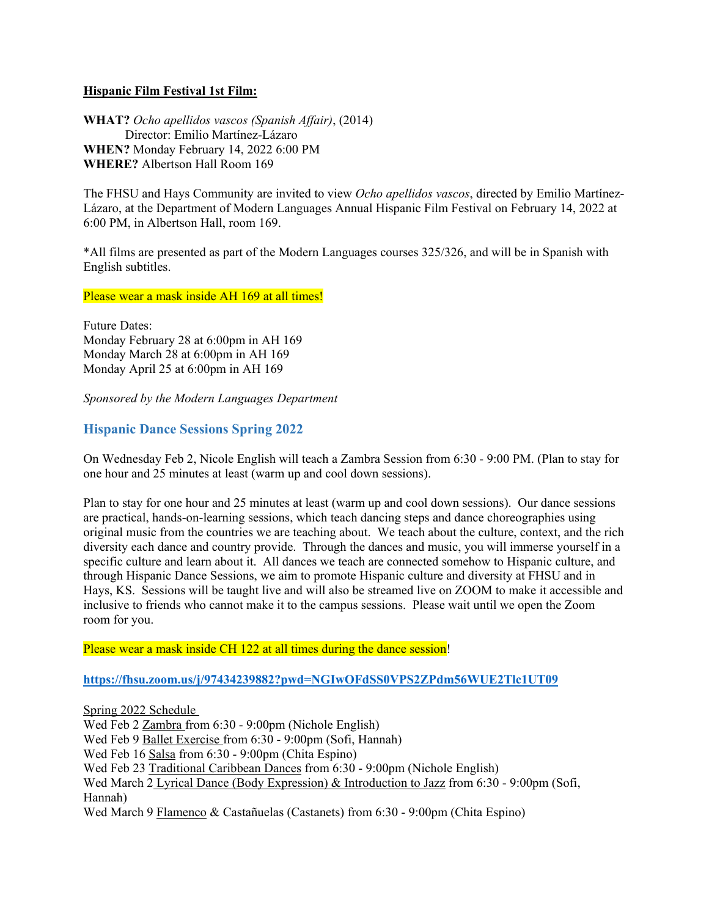### **Hispanic Film Festival 1st Film:**

**WHAT?** *Ocho apellidos vascos (Spanish Affair)*, (2014) Director: Emilio Martínez-Lázaro **WHEN?** Monday February 14, 2022 6:00 PM **WHERE?** Albertson Hall Room 169

The FHSU and Hays Community are invited to view *Ocho apellidos vascos*, directed by Emilio Martínez-Lázaro, at the Department of Modern Languages Annual Hispanic Film Festival on February 14, 2022 at 6:00 PM, in Albertson Hall, room 169.

\*All films are presented as part of the Modern Languages courses 325/326, and will be in Spanish with English subtitles.

Please wear a mask inside AH 169 at all times!

Future Dates: Monday February 28 at 6:00pm in AH 169 Monday March 28 at 6:00pm in AH 169 Monday April 25 at 6:00pm in AH 169

*Sponsored by the Modern Languages Department* 

## <span id="page-6-0"></span>**Hispanic Dance Sessions Spring 2022**

On Wednesday Feb 2, Nicole English will teach a Zambra Session from 6:30 - 9:00 PM. (Plan to stay for one hour and 25 minutes at least (warm up and cool down sessions).

Plan to stay for one hour and 25 minutes at least (warm up and cool down sessions). Our dance sessions are practical, hands-on-learning sessions, which teach dancing steps and dance choreographies using original music from the countries we are teaching about. We teach about the culture, context, and the rich diversity each dance and country provide. Through the dances and music, you will immerse yourself in a specific culture and learn about it. All dances we teach are connected somehow to Hispanic culture, and through Hispanic Dance Sessions, we aim to promote Hispanic culture and diversity at FHSU and in Hays, KS. Sessions will be taught live and will also be streamed live on ZOOM to make it accessible and inclusive to friends who cannot make it to the campus sessions. Please wait until we open the Zoom room for you.

Please wear a mask inside CH 122 at all times during the dance session!

**<https://fhsu.zoom.us/j/97434239882?pwd=NGIwOFdSS0VPS2ZPdm56WUE2Tlc1UT09>**

Spring 2022 Schedule Wed Feb 2 Zambra from 6:30 - 9:00pm (Nichole English) Wed Feb 9 Ballet Exercise from 6:30 - 9:00pm (Sofi, Hannah) Wed Feb 16 Salsa from 6:30 - 9:00pm (Chita Espino) Wed Feb 23 Traditional Caribbean Dances from 6:30 - 9:00pm (Nichole English) Wed March 2 Lyrical Dance (Body Expression) & Introduction to Jazz from 6:30 - 9:00pm (Sofi, Hannah) Wed March 9 Flamenco & Castañuelas (Castanets) from 6:30 - 9:00pm (Chita Espino)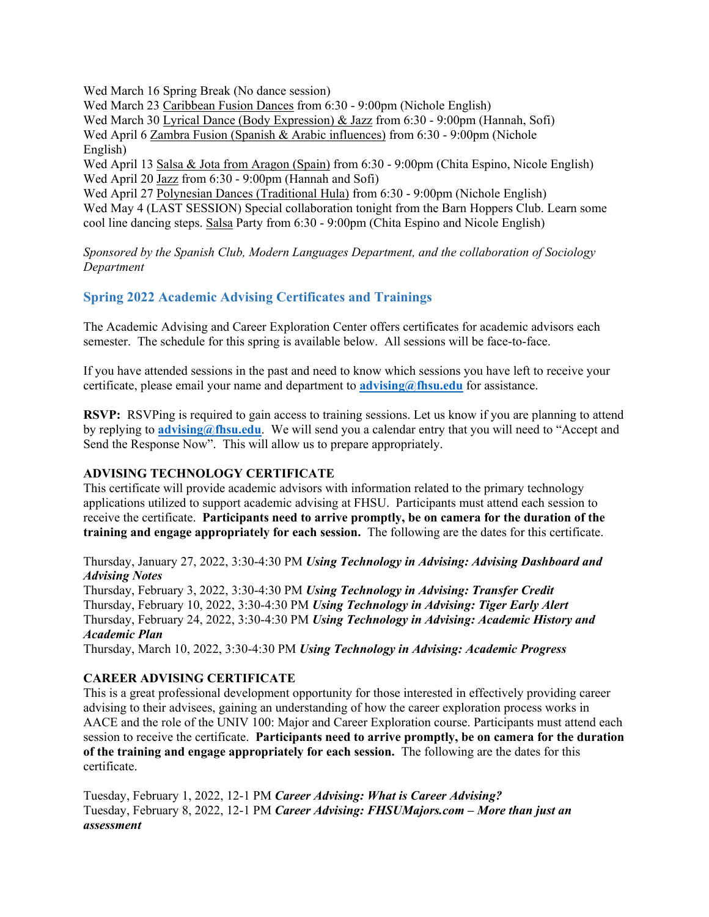Wed March 16 Spring Break (No dance session)

Wed March 23 Caribbean Fusion Dances from 6:30 - 9:00pm (Nichole English) Wed March 30 Lyrical Dance (Body Expression) & Jazz from 6:30 - 9:00pm (Hannah, Sofi) Wed April 6 Zambra Fusion (Spanish & Arabic influences) from 6:30 - 9:00pm (Nichole English)

Wed April 13 Salsa & Jota from Aragon (Spain) from 6:30 - 9:00pm (Chita Espino, Nicole English) Wed April 20 Jazz from 6:30 - 9:00pm (Hannah and Sofi)

Wed April 27 Polynesian Dances (Traditional Hula) from 6:30 - 9:00pm (Nichole English) Wed May 4 (LAST SESSION) Special collaboration tonight from the Barn Hoppers Club. Learn some cool line dancing steps. Salsa Party from 6:30 - 9:00pm (Chita Espino and Nicole English)

*Sponsored by the Spanish Club, Modern Languages Department, and the collaboration of Sociology Department* 

## <span id="page-7-0"></span>**Spring 2022 Academic Advising Certificates and Trainings**

The Academic Advising and Career Exploration Center offers certificates for academic advisors each semester. The schedule for this spring is available below. All sessions will be face-to-face.

If you have attended sessions in the past and need to know which sessions you have left to receive your certificate, please email your name and department to **[advising@fhsu.edu](mailto:advising@fhsu.edu)** for assistance.

**RSVP:** RSVPing is required to gain access to training sessions. Let us know if you are planning to attend by replying to **[advising@fhsu.edu](mailto:advising@fhsu.edu)**. We will send you a calendar entry that you will need to "Accept and Send the Response Now". This will allow us to prepare appropriately.

## **ADVISING TECHNOLOGY CERTIFICATE**

This certificate will provide academic advisors with information related to the primary technology applications utilized to support academic advising at FHSU. Participants must attend each session to receive the certificate. **Participants need to arrive promptly, be on camera for the duration of the training and engage appropriately for each session.** The following are the dates for this certificate.

Thursday, January 27, 2022, 3:30-4:30 PM *Using Technology in Advising: Advising Dashboard and Advising Notes*

Thursday, February 3, 2022, 3:30-4:30 PM *Using Technology in Advising: Transfer Credit* Thursday, February 10, 2022, 3:30-4:30 PM *Using Technology in Advising: Tiger Early Alert* Thursday, February 24, 2022, 3:30-4:30 PM *Using Technology in Advising: Academic History and Academic Plan*

Thursday, March 10, 2022, 3:30-4:30 PM *Using Technology in Advising: Academic Progress*

## **CAREER ADVISING CERTIFICATE**

This is a great professional development opportunity for those interested in effectively providing career advising to their advisees, gaining an understanding of how the career exploration process works in AACE and the role of the UNIV 100: Major and Career Exploration course. Participants must attend each session to receive the certificate. **Participants need to arrive promptly, be on camera for the duration of the training and engage appropriately for each session.** The following are the dates for this certificate.

Tuesday, February 1, 2022, 12-1 PM *Career Advising: What is Career Advising?* Tuesday, February 8, 2022, 12-1 PM *Career Advising: FHSUMajors.com – More than just an assessment*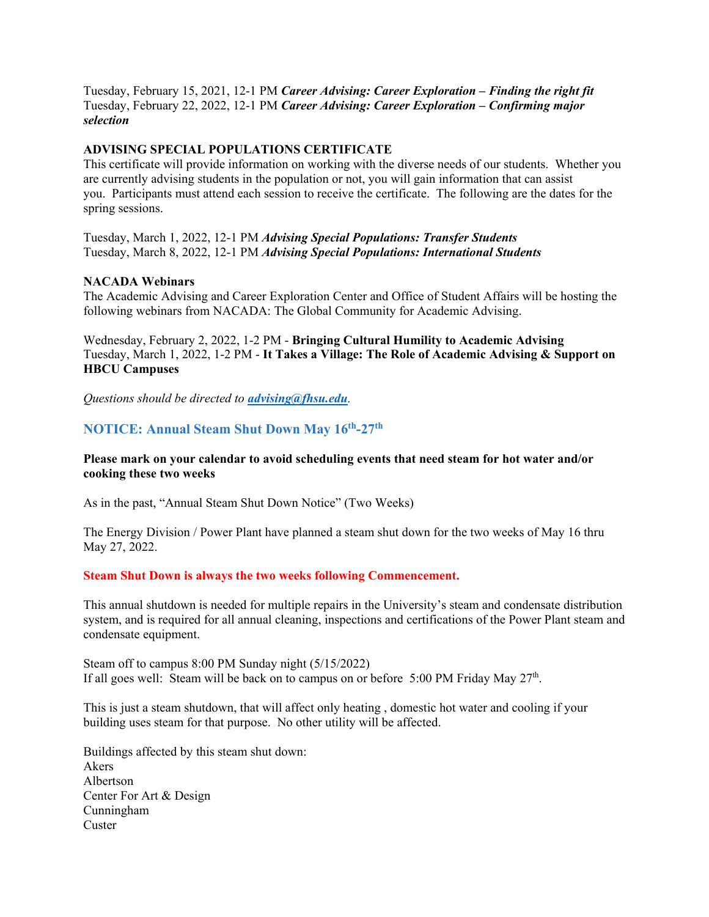Tuesday, February 15, 2021, 12-1 PM *Career Advising: Career Exploration – Finding the right fit* Tuesday, February 22, 2022, 12-1 PM *Career Advising: Career Exploration – Confirming major selection*

#### **ADVISING SPECIAL POPULATIONS CERTIFICATE**

This certificate will provide information on working with the diverse needs of our students. Whether you are currently advising students in the population or not, you will gain information that can assist you. Participants must attend each session to receive the certificate. The following are the dates for the spring sessions.

Tuesday, March 1, 2022, 12-1 PM *Advising Special Populations: Transfer Students* Tuesday, March 8, 2022, 12-1 PM *Advising Special Populations: International Students*

#### **NACADA Webinars**

The Academic Advising and Career Exploration Center and Office of Student Affairs will be hosting the following webinars from NACADA: The Global Community for Academic Advising.

Wednesday, February 2, 2022, 1-2 PM - **Bringing Cultural Humility to Academic Advising** Tuesday, March 1, 2022, 1-2 PM - **It Takes a Village: The Role of Academic Advising & Support on HBCU Campuses**

*Questions should be directed to [advising@fhsu.edu](mailto:advising@fhsu.edu).*

## <span id="page-8-0"></span>**NOTICE: Annual Steam Shut Down May 16th-27th**

#### **Please mark on your calendar to avoid scheduling events that need steam for hot water and/or cooking these two weeks**

As in the past, "Annual Steam Shut Down Notice" (Two Weeks)

The Energy Division / Power Plant have planned a steam shut down for the two weeks of May 16 thru May 27, 2022.

#### **Steam Shut Down is always the two weeks following Commencement.**

This annual shutdown is needed for multiple repairs in the University's steam and condensate distribution system, and is required for all annual cleaning, inspections and certifications of the Power Plant steam and condensate equipment.

Steam off to campus 8:00 PM Sunday night (5/15/2022) If all goes well: Steam will be back on to campus on or before 5:00 PM Friday May  $27<sup>th</sup>$ .

This is just a steam shutdown, that will affect only heating , domestic hot water and cooling if your building uses steam for that purpose. No other utility will be affected.

Buildings affected by this steam shut down: Akers Albertson Center For Art & Design Cunningham **Custer**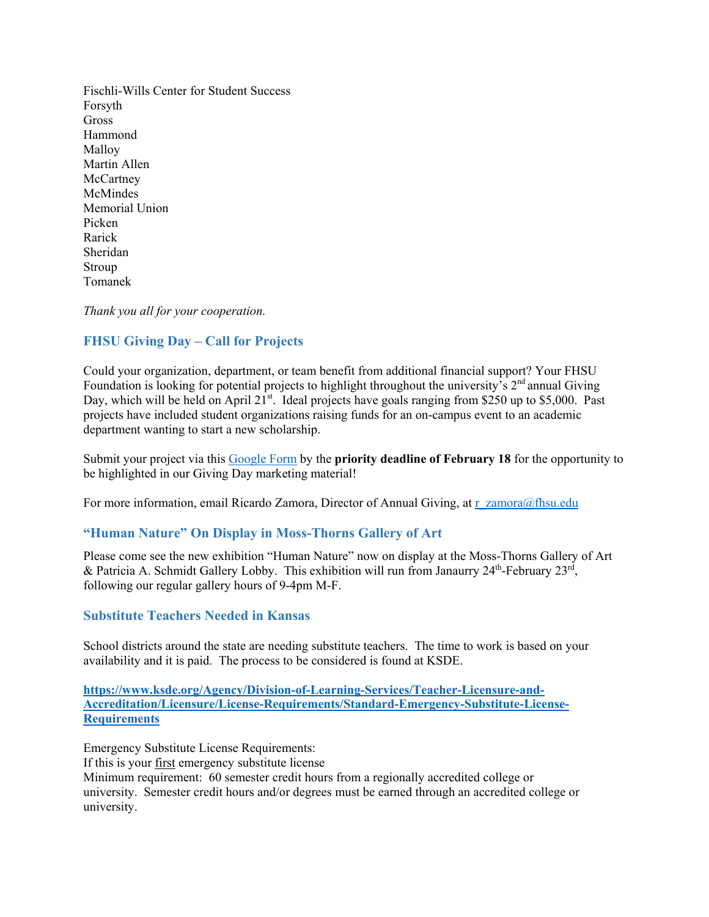Fischli-Wills Center for Student Success Forsyth Gross Hammond Malloy Martin Allen **McCartney McMindes** Memorial Union Picken Rarick Sheridan Stroup Tomanek

*Thank you all for your cooperation.*

## <span id="page-9-0"></span>**FHSU Giving Day – Call for Projects**

Could your organization, department, or team benefit from additional financial support? Your FHSU Foundation is looking for potential projects to highlight throughout the university's  $2<sup>nd</sup>$  annual Giving Day, which will be held on April 21<sup>st</sup>. Ideal projects have goals ranging from \$250 up to \$5,000. Past projects have included student organizations raising funds for an on-campus event to an academic department wanting to start a new scholarship.

Submit your project via this [Google Form](https://docs.google.com/forms/d/e/1FAIpQLSfGGdZN44-oAR4DK91KIVMj0xqlPZb_u2aSW9911W5o8lF0HQ/viewform?usp=sf_link) by the **priority deadline of February 18** for the opportunity to be highlighted in our Giving Day marketing material!

For more information, email Ricardo Zamora, Director of Annual Giving, at [r\\_zamora@fhsu.edu](mailto:r_zamora@fhsu.edu)

#### <span id="page-9-1"></span>**"Human Nature" On Display in Moss-Thorns Gallery of Art**

Please come see the new exhibition "Human Nature" now on display at the Moss-Thorns Gallery of Art & Patricia A. Schmidt Gallery Lobby. This exhibition will run from Janaurry  $24^{\text{th}}$ -February  $23^{\text{rd}}$ , following our regular gallery hours of 9-4pm M-F.

#### <span id="page-9-2"></span>**Substitute Teachers Needed in Kansas**

School districts around the state are needing substitute teachers. The time to work is based on your availability and it is paid. The process to be considered is found at KSDE.

**[https://www.ksde.org/Agency/Division-of-Learning-Services/Teacher-Licensure-and-](https://linkprotect.cudasvc.com/url?a=https%3a%2f%2fwww.ksde.org%2fAgency%2fDivision-of-Learning-Services%2fTeacher-Licensure-and-Accreditation%2fLicensure%2fLicense-Requirements%2fStandard-Emergency-Substitute-License-Requirements&c=E,1,ldoVoUsqgu2Y5EpVFBdkz0I-ocK_c-YvMpLTu-KRLoRwWo-bS5u_MczWtji7H3MqCpv4WMXZBrKB9moJZvQJuhB_16eHvuP2UThiDdRwsfTkwTH3feA,&typo=1)[Accreditation/Licensure/License-Requirements/Standard-Emergency-Substitute-License-](https://linkprotect.cudasvc.com/url?a=https%3a%2f%2fwww.ksde.org%2fAgency%2fDivision-of-Learning-Services%2fTeacher-Licensure-and-Accreditation%2fLicensure%2fLicense-Requirements%2fStandard-Emergency-Substitute-License-Requirements&c=E,1,ldoVoUsqgu2Y5EpVFBdkz0I-ocK_c-YvMpLTu-KRLoRwWo-bS5u_MczWtji7H3MqCpv4WMXZBrKB9moJZvQJuhB_16eHvuP2UThiDdRwsfTkwTH3feA,&typo=1)[Requirements](https://linkprotect.cudasvc.com/url?a=https%3a%2f%2fwww.ksde.org%2fAgency%2fDivision-of-Learning-Services%2fTeacher-Licensure-and-Accreditation%2fLicensure%2fLicense-Requirements%2fStandard-Emergency-Substitute-License-Requirements&c=E,1,ldoVoUsqgu2Y5EpVFBdkz0I-ocK_c-YvMpLTu-KRLoRwWo-bS5u_MczWtji7H3MqCpv4WMXZBrKB9moJZvQJuhB_16eHvuP2UThiDdRwsfTkwTH3feA,&typo=1)**

Emergency Substitute License Requirements: If this is your first emergency substitute license Minimum requirement: 60 semester credit hours from a regionally accredited college or university. Semester credit hours and/or degrees must be earned through an accredited college or university.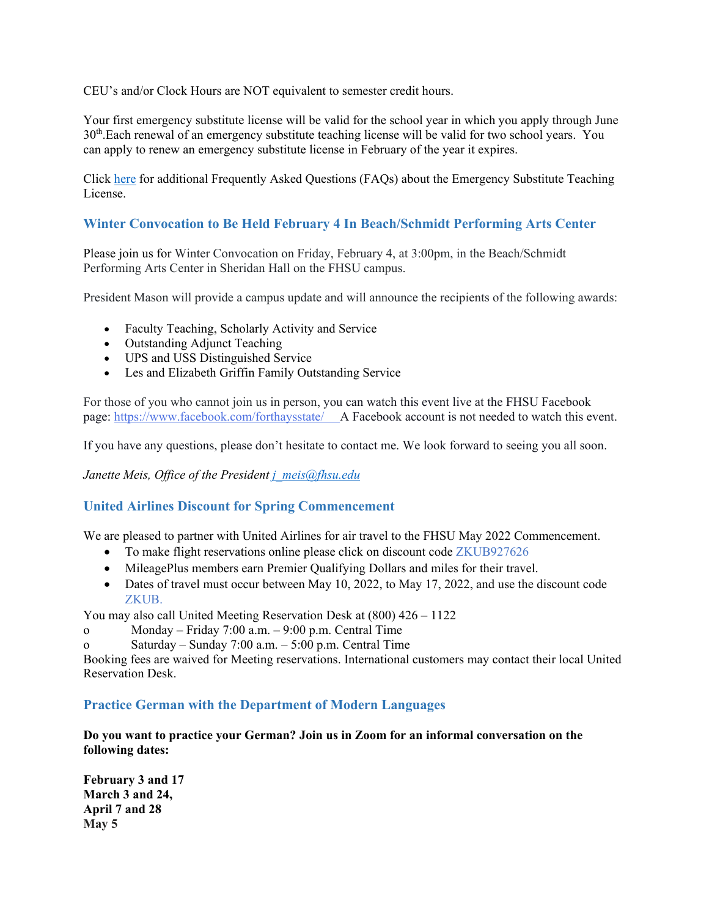CEU's and/or Clock Hours are NOT equivalent to semester credit hours.

Your first emergency substitute license will be valid for the school year in which you apply through June 30th.Each renewal of an emergency substitute teaching license will be valid for two school years. You can apply to renew an emergency substitute license in February of the year it expires.

Click [here](https://linkprotect.cudasvc.com/url?a=https%3a%2f%2fwww.ksde.org%2fDefault.aspx%3ftabid%3d1037&c=E,1,59SgJzRFYiOeo360gJauZ7PxzbuUnZEOGEXMrUVEcqTBnG45YAfTDzSC_HyeXXAnt-Z3HxNRZH-LO3lfn5Y_o96vmJjSUW9RwH61dZ6aJclD-PQpaOcK&typo=1) for additional Frequently Asked Questions (FAQs) about the Emergency Substitute Teaching License.

## <span id="page-10-0"></span>**Winter Convocation to Be Held February 4 In Beach/Schmidt Performing Arts Center**

Please join us for Winter Convocation on Friday, February 4, at 3:00pm, in the Beach/Schmidt Performing Arts Center in Sheridan Hall on the FHSU campus.

President Mason will provide a campus update and will announce the recipients of the following awards:

- Faculty Teaching, Scholarly Activity and Service
- Outstanding Adjunct Teaching
- UPS and USS Distinguished Service
- Les and Elizabeth Griffin Family Outstanding Service

For those of you who cannot join us in person, you can watch this event live at the FHSU Facebook page: <https://www.facebook.com/forthaysstate/> A Facebook account is not needed to watch this event.

If you have any questions, please don't hesitate to contact me. We look forward to seeing you all soon.

*Janette Meis, Office of the President [j\\_meis@fhsu.edu](mailto:j_meis@fhsu.edu)*

#### <span id="page-10-1"></span>**United Airlines Discount for Spring Commencement**

We are pleased to partner with United Airlines for air travel to the FHSU May 2022 Commencement.

- To make flight reservations online please click on discount code ZKUB927626
- MileagePlus members earn Premier Qualifying Dollars and miles for their travel.
- Dates of travel must occur between May 10, 2022, to May 17, 2022, and use the discount code ZKUB.

You may also call United Meeting Reservation Desk at (800) 426 – 1122

- o Monday Friday 7:00 a.m. 9:00 p.m. Central Time
- o Saturday Sunday 7:00 a.m. 5:00 p.m. Central Time

Booking fees are waived for Meeting reservations. International customers may contact their local United Reservation Desk.

#### <span id="page-10-2"></span>**Practice German with the Department of Modern Languages**

**Do you want to practice your German? Join us in Zoom for an informal conversation on the following dates:**

**February 3 and 17 March 3 and 24, April 7 and 28 May 5**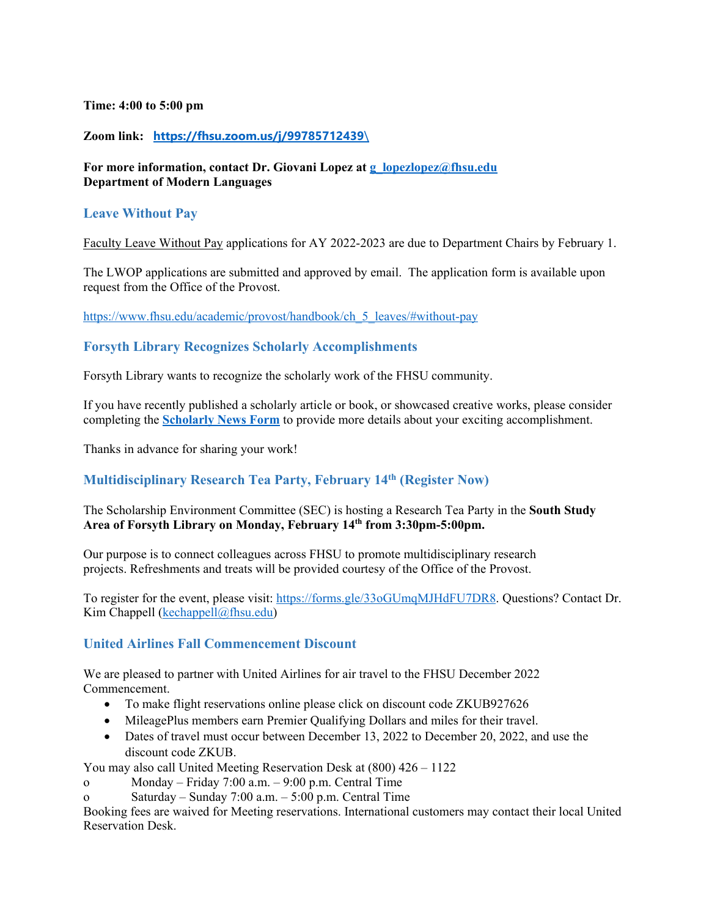#### **Time: 4:00 to 5:00 pm**

### **Zoom link: [https://fhsu.zoom.us/j/99785712439](https://fhsu.zoom.us/j/99785712439/)**\

### **For more information, contact Dr. Giovani Lopez at [g\\_lopezlopez@fhsu.edu](mailto:g_lopezlopez@fhsu.edu) Department of Modern Languages**

## <span id="page-11-0"></span>**Leave Without Pay**

Faculty Leave Without Pay applications for AY 2022-2023 are due to Department Chairs by February 1.

The LWOP applications are submitted and approved by email. The application form is available upon request from the Office of the Provost.

[https://www.fhsu.edu/academic/provost/handbook/ch\\_5\\_leaves/#without-pay](https://www.fhsu.edu/academic/provost/handbook/ch_5_leaves/#without-pay)

### <span id="page-11-1"></span>**Forsyth Library Recognizes Scholarly Accomplishments**

Forsyth Library wants to recognize the scholarly work of the FHSU community.

If you have recently published a scholarly article or book, or showcased creative works, please consider completing the **[Scholarly News Form](https://fhsu.libinsight.com/scholarlynews)** to provide more details about your exciting accomplishment.

Thanks in advance for sharing your work!

## <span id="page-11-2"></span>**Multidisciplinary Research Tea Party, February 14th (Register Now)**

The Scholarship Environment Committee (SEC) is hosting a Research Tea Party in the **South Study Area of Forsyth Library on Monday, February 14th from 3:30pm-5:00pm.**

Our purpose is to connect colleagues across FHSU to promote multidisciplinary research projects. Refreshments and treats will be provided courtesy of the Office of the Provost.

To register for the event, please visit: [https://forms.gle/33oGUmqMJHdFU7DR8.](https://forms.gle/33oGUmqMJHdFU7DR8) Questions? Contact Dr. Kim Chappell (kechappell $@$ fhsu.edu)

## <span id="page-11-3"></span>**United Airlines Fall Commencement Discount**

We are pleased to partner with United Airlines for air travel to the FHSU December 2022 Commencement.

- To make flight reservations online please click on discount code ZKUB927626
- MileagePlus members earn Premier Qualifying Dollars and miles for their travel.
- Dates of travel must occur between December 13, 2022 to December 20, 2022, and use the discount code ZKUB.

You may also call United Meeting Reservation Desk at (800) 426 – 1122

- o Monday Friday 7:00 a.m. 9:00 p.m. Central Time
- o Saturday Sunday 7:00 a.m. 5:00 p.m. Central Time

Booking fees are waived for Meeting reservations. International customers may contact their local United Reservation Desk.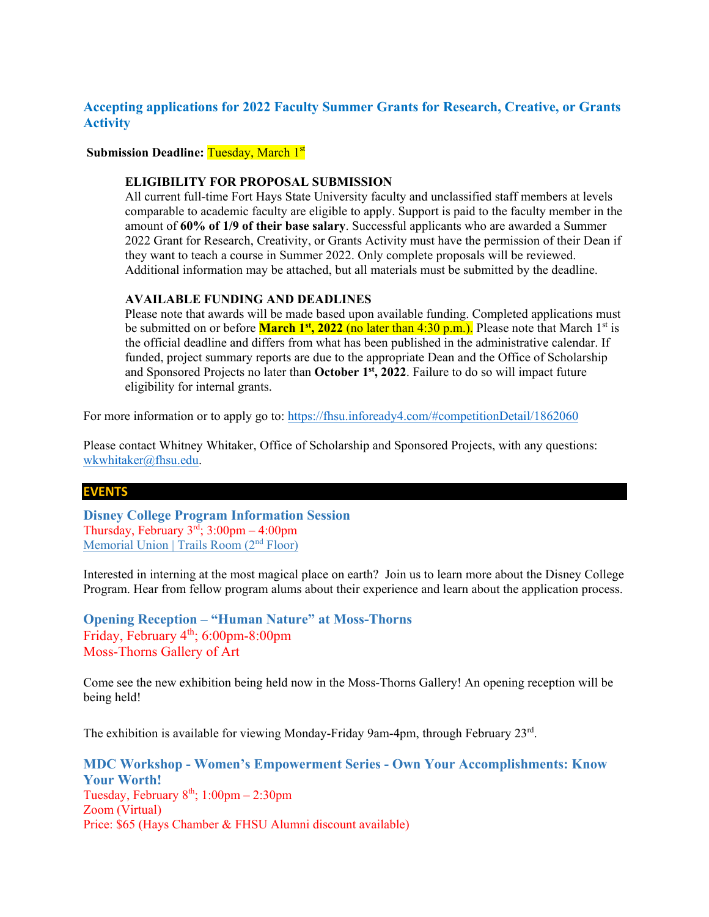## <span id="page-12-0"></span>**Accepting applications for 2022 Faculty Summer Grants for Research, Creative, or Grants Activity**

**Submission Deadline: Tuesday, March 1st** 

#### **ELIGIBILITY FOR PROPOSAL SUBMISSION**

All current full-time Fort Hays State University faculty and unclassified staff members at levels comparable to academic faculty are eligible to apply. Support is paid to the faculty member in the amount of **60% of 1/9 of their base salary**. Successful applicants who are awarded a Summer 2022 Grant for Research, Creativity, or Grants Activity must have the permission of their Dean if they want to teach a course in Summer 2022. Only complete proposals will be reviewed. Additional information may be attached, but all materials must be submitted by the deadline.

#### **AVAILABLE FUNDING AND DEADLINES**

Please note that awards will be made based upon available funding. Completed applications must be submitted on or before **March 1<sup>st</sup>, 2022** (no later than 4:30 p.m.). Please note that March 1<sup>st</sup> is the official deadline and differs from what has been published in the administrative calendar. If funded, project summary reports are due to the appropriate Dean and the Office of Scholarship and Sponsored Projects no later than **October 1st, 2022**. Failure to do so will impact future eligibility for internal grants.

For more information or to apply go to:<https://fhsu.infoready4.com/#competitionDetail/1862060>

Please contact Whitney Whitaker, Office of Scholarship and Sponsored Projects, with any questions: [wkwhitaker@fhsu.edu.](mailto:mjkoonse@fhsu.edu)

#### **EVENTS**

<span id="page-12-1"></span>**Disney College Program Information Session** Thursday, February  $3^{rd}$ ;  $3:00 \text{pm} - 4:00 \text{pm}$ [Memorial Union | Trails Room \(2](https://app.joinhandshake.com/schools/622)<sup>nd</sup> Floor)

Interested in interning at the most magical place on earth? Join us to learn more about the Disney College Program. Hear from fellow program alums about their experience and learn about the application process.

<span id="page-12-2"></span>**Opening Reception – "Human Nature" at Moss-Thorns** Friday, February 4th; 6:00pm-8:00pm Moss-Thorns Gallery of Art

Come see the new exhibition being held now in the Moss-Thorns Gallery! An opening reception will be being held!

The exhibition is available for viewing Monday-Friday 9am-4pm, through February 23rd.

<span id="page-12-3"></span>**MDC Workshop - Women's Empowerment Series - Own Your Accomplishments: Know Your Worth!** Tuesday, February  $8<sup>th</sup>$ ; 1:00pm – 2:30pm Zoom (Virtual) Price: \$65 (Hays Chamber & FHSU Alumni discount available)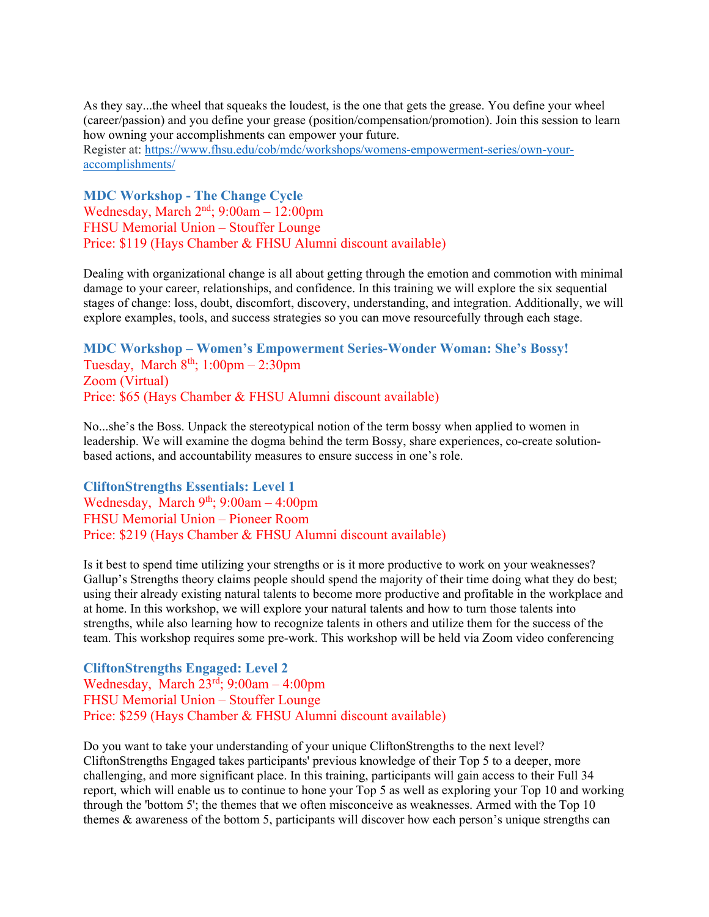As they say...the wheel that squeaks the loudest, is the one that gets the grease. You define your wheel (career/passion) and you define your grease (position/compensation/promotion). Join this session to learn how owning your accomplishments can empower your future.

Register at: [https://www.fhsu.edu/cob/mdc/workshops/womens-empowerment-series/own-your](https://www.fhsu.edu/cob/mdc/workshops/womens-empowerment-series/own-your-accomplishments/)[accomplishments/](https://www.fhsu.edu/cob/mdc/workshops/womens-empowerment-series/own-your-accomplishments/)

<span id="page-13-0"></span>**MDC Workshop - The Change Cycle**  Wednesday, March  $2<sup>nd</sup>$ ; 9:00am – 12:00pm FHSU Memorial Union – Stouffer Lounge Price: \$119 (Hays Chamber & FHSU Alumni discount available)

Dealing with organizational change is all about getting through the emotion and commotion with minimal damage to your career, relationships, and confidence. In this training we will explore the six sequential stages of change: loss, doubt, discomfort, discovery, understanding, and integration. Additionally, we will explore examples, tools, and success strategies so you can move resourcefully through each stage.

<span id="page-13-1"></span>**MDC Workshop – Women's Empowerment Series-Wonder Woman: She's Bossy!**  Tuesday, March  $8<sup>th</sup>$ ; 1:00pm – 2:30pm Zoom (Virtual) Price: \$65 (Hays Chamber & FHSU Alumni discount available)

No...she's the Boss. Unpack the stereotypical notion of the term bossy when applied to women in leadership. We will examine the dogma behind the term Bossy, share experiences, co-create solutionbased actions, and accountability measures to ensure success in one's role.

<span id="page-13-2"></span>**CliftonStrengths Essentials: Level 1**  Wednesday, March  $9<sup>th</sup>$ ; 9:00am – 4:00pm FHSU Memorial Union – Pioneer Room Price: \$219 (Hays Chamber & FHSU Alumni discount available)

Is it best to spend time utilizing your strengths or is it more productive to work on your weaknesses? Gallup's Strengths theory claims people should spend the majority of their time doing what they do best; using their already existing natural talents to become more productive and profitable in the workplace and at home. In this workshop, we will explore your natural talents and how to turn those talents into strengths, while also learning how to recognize talents in others and utilize them for the success of the team. This workshop requires some pre-work. This workshop will be held via Zoom video conferencing

<span id="page-13-3"></span>**CliftonStrengths Engaged: Level 2** Wednesday, March 23rd; 9:00am – 4:00pm FHSU Memorial Union – Stouffer Lounge Price: \$259 (Hays Chamber & FHSU Alumni discount available)

Do you want to take your understanding of your unique CliftonStrengths to the next level? CliftonStrengths Engaged takes participants' previous knowledge of their Top 5 to a deeper, more challenging, and more significant place. In this training, participants will gain access to their Full 34 report, which will enable us to continue to hone your Top 5 as well as exploring your Top 10 and working through the 'bottom 5'; the themes that we often misconceive as weaknesses. Armed with the Top 10 themes & awareness of the bottom 5, participants will discover how each person's unique strengths can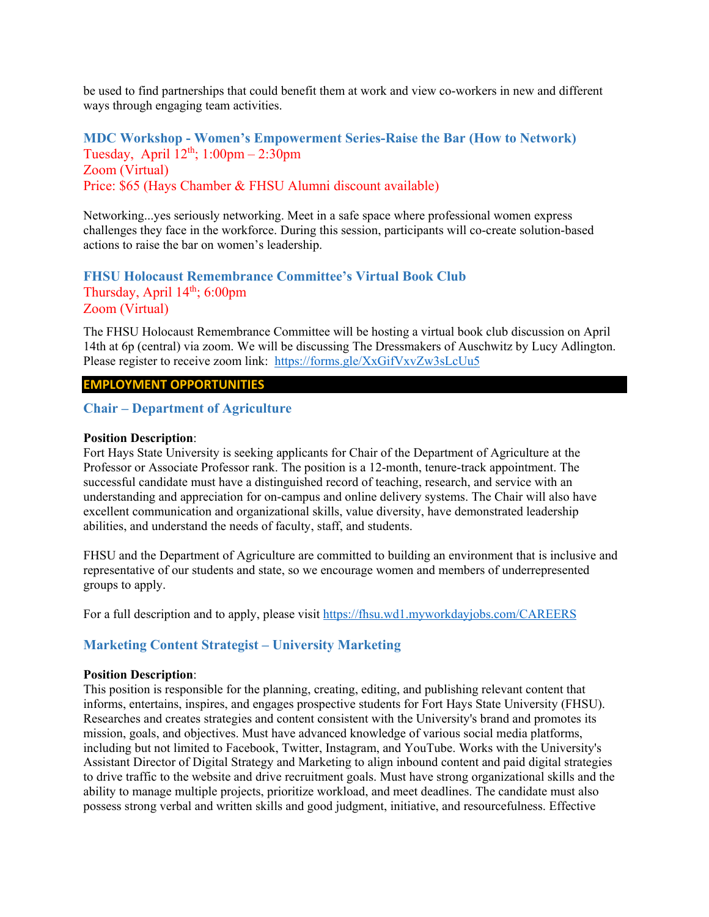be used to find partnerships that could benefit them at work and view co-workers in new and different ways through engaging team activities.

<span id="page-14-0"></span>**MDC Workshop - Women's Empowerment Series-Raise the Bar (How to Network)** Tuesday, April  $12<sup>th</sup>$ ;  $1:00pm - 2:30pm$ Zoom (Virtual) Price: \$65 (Hays Chamber & FHSU Alumni discount available)

Networking...yes seriously networking. Meet in a safe space where professional women express challenges they face in the workforce. During this session, participants will co-create solution-based actions to raise the bar on women's leadership.

### <span id="page-14-1"></span>**FHSU Holocaust Remembrance Committee's Virtual Book Club** Thursday, April  $14<sup>th</sup>$ ; 6:00pm Zoom (Virtual)

The FHSU Holocaust Remembrance Committee will be hosting a virtual book club discussion on April 14th at 6p (central) via zoom. We will be discussing The Dressmakers of Auschwitz by Lucy Adlington. Please register to receive zoom link: <https://forms.gle/XxGifVxvZw3sLcUu5>

#### **EMPLOYMENT OPPORTUNITIES**

### <span id="page-14-2"></span>**Chair – Department of Agriculture**

#### **Position Description**:

Fort Hays State University is seeking applicants for Chair of the Department of Agriculture at the Professor or Associate Professor rank. The position is a 12-month, tenure-track appointment. The successful candidate must have a distinguished record of teaching, research, and service with an understanding and appreciation for on-campus and online delivery systems. The Chair will also have excellent communication and organizational skills, value diversity, have demonstrated leadership abilities, and understand the needs of faculty, staff, and students.

FHSU and the Department of Agriculture are committed to building an environment that is inclusive and representative of our students and state, so we encourage women and members of underrepresented groups to apply.

For a full description and to apply, please visit<https://fhsu.wd1.myworkdayjobs.com/CAREERS>

## <span id="page-14-3"></span>**Marketing Content Strategist – University Marketing**

#### **Position Description**:

This position is responsible for the planning, creating, editing, and publishing relevant content that informs, entertains, inspires, and engages prospective students for Fort Hays State University (FHSU). Researches and creates strategies and content consistent with the University's brand and promotes its mission, goals, and objectives. Must have advanced knowledge of various social media platforms, including but not limited to Facebook, Twitter, Instagram, and YouTube. Works with the University's Assistant Director of Digital Strategy and Marketing to align inbound content and paid digital strategies to drive traffic to the website and drive recruitment goals. Must have strong organizational skills and the ability to manage multiple projects, prioritize workload, and meet deadlines. The candidate must also possess strong verbal and written skills and good judgment, initiative, and resourcefulness. Effective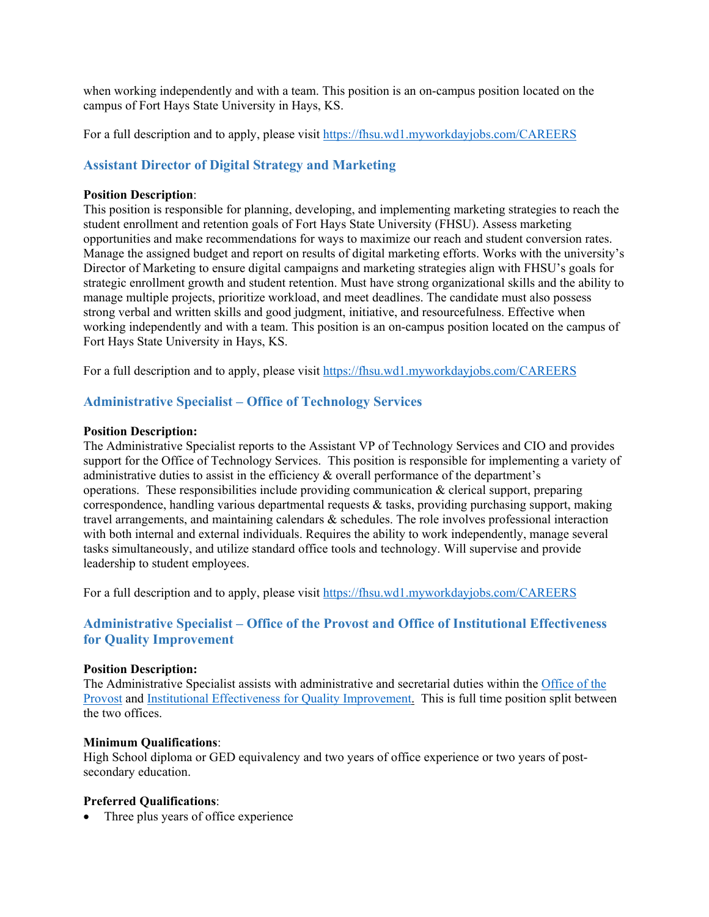when working independently and with a team. This position is an on-campus position located on the campus of Fort Hays State University in Hays, KS.

For a full description and to apply, please visit<https://fhsu.wd1.myworkdayjobs.com/CAREERS>

## <span id="page-15-0"></span>**Assistant Director of Digital Strategy and Marketing**

#### **Position Description**:

This position is responsible for planning, developing, and implementing marketing strategies to reach the student enrollment and retention goals of Fort Hays State University (FHSU). Assess marketing opportunities and make recommendations for ways to maximize our reach and student conversion rates. Manage the assigned budget and report on results of digital marketing efforts. Works with the university's Director of Marketing to ensure digital campaigns and marketing strategies align with FHSU's goals for strategic enrollment growth and student retention. Must have strong organizational skills and the ability to manage multiple projects, prioritize workload, and meet deadlines. The candidate must also possess strong verbal and written skills and good judgment, initiative, and resourcefulness. Effective when working independently and with a team. This position is an on-campus position located on the campus of Fort Hays State University in Hays, KS.

For a full description and to apply, please visit<https://fhsu.wd1.myworkdayjobs.com/CAREERS>

### <span id="page-15-1"></span>**Administrative Specialist – Office of Technology Services**

#### **Position Description:**

The Administrative Specialist reports to the Assistant VP of Technology Services and CIO and provides support for the Office of Technology Services. This position is responsible for implementing a variety of administrative duties to assist in the efficiency  $\&$  overall performance of the department's operations. These responsibilities include providing communication  $\&$  clerical support, preparing correspondence, handling various departmental requests  $\&$  tasks, providing purchasing support, making travel arrangements, and maintaining calendars & schedules. The role involves professional interaction with both internal and external individuals. Requires the ability to work independently, manage several tasks simultaneously, and utilize standard office tools and technology. Will supervise and provide leadership to student employees.

For a full description and to apply, please visit<https://fhsu.wd1.myworkdayjobs.com/CAREERS>

## **Administrative Specialist – Office of the Provost and Office of Institutional Effectiveness for Quality Improvement**

#### **Position Description:**

The Administrative Specialist assists with administrative and secretarial duties within the [Office of the](http://www.fhsu.edu/provost)  [Provost](http://www.fhsu.edu/provost) and [Institutional Effectiveness for Quality Improvement.](https://www.fhsu.edu/ieqi/index) This is full time position split between the two offices.

#### **Minimum Qualifications**:

High School diploma or GED equivalency and two years of office experience or two years of postsecondary education.

#### **Preferred Qualifications**:

• Three plus years of office experience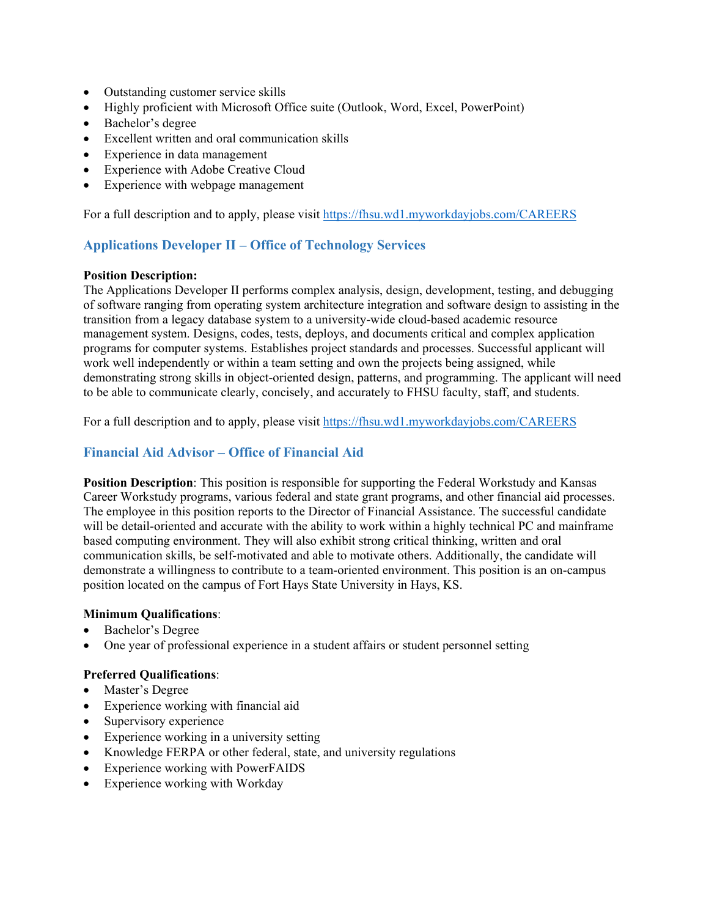- Outstanding customer service skills
- Highly proficient with Microsoft Office suite (Outlook, Word, Excel, PowerPoint)
- Bachelor's degree
- Excellent written and oral communication skills
- Experience in data management
- Experience with Adobe Creative Cloud
- Experience with webpage management

For a full description and to apply, please visit<https://fhsu.wd1.myworkdayjobs.com/CAREERS>

## <span id="page-16-0"></span>**Applications Developer II – Office of Technology Services**

#### **Position Description:**

The Applications Developer II performs complex analysis, design, development, testing, and debugging of software ranging from operating system architecture integration and software design to assisting in the transition from a legacy database system to a university-wide cloud-based academic resource management system. Designs, codes, tests, deploys, and documents critical and complex application programs for computer systems. Establishes project standards and processes. Successful applicant will work well independently or within a team setting and own the projects being assigned, while demonstrating strong skills in object-oriented design, patterns, and programming. The applicant will need to be able to communicate clearly, concisely, and accurately to FHSU faculty, staff, and students.

For a full description and to apply, please visit<https://fhsu.wd1.myworkdayjobs.com/CAREERS>

## <span id="page-16-1"></span>**Financial Aid Advisor – Office of Financial Aid**

**Position Description**: This position is responsible for supporting the Federal Workstudy and Kansas Career Workstudy programs, various federal and state grant programs, and other financial aid processes. The employee in this position reports to the Director of Financial Assistance. The successful candidate will be detail-oriented and accurate with the ability to work within a highly technical PC and mainframe based computing environment. They will also exhibit strong critical thinking, written and oral communication skills, be self-motivated and able to motivate others. Additionally, the candidate will demonstrate a willingness to contribute to a team-oriented environment. This position is an on-campus position located on the campus of Fort Hays State University in Hays, KS.

#### **Minimum Qualifications**:

- Bachelor's Degree
- One year of professional experience in a student affairs or student personnel setting

## **Preferred Qualifications**:

- Master's Degree
- Experience working with financial aid
- Supervisory experience
- Experience working in a university setting
- Knowledge FERPA or other federal, state, and university regulations
- Experience working with PowerFAIDS
- Experience working with Workday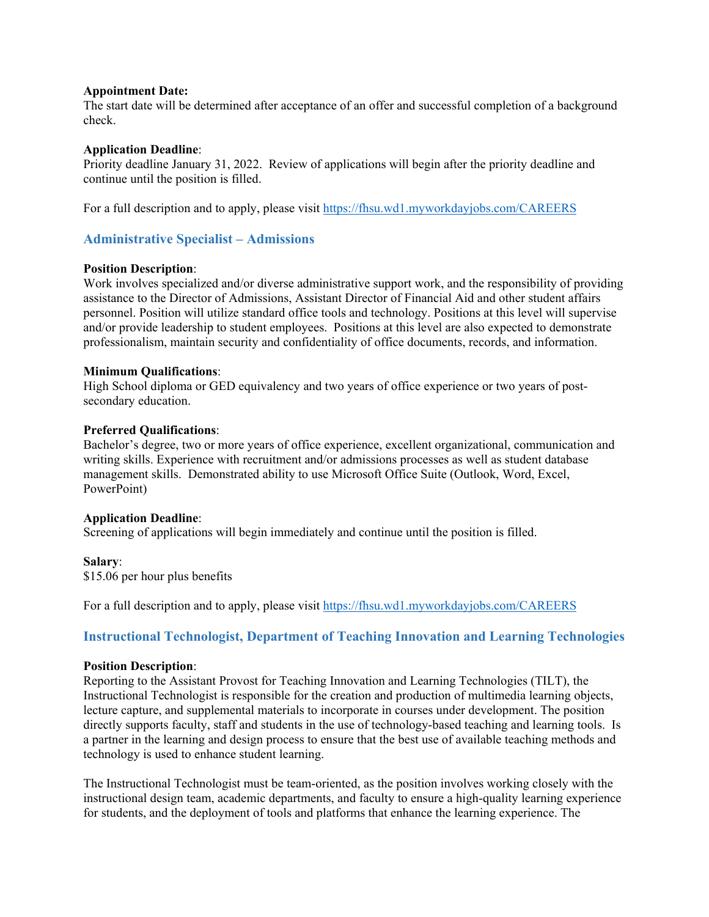#### **Appointment Date:**

The start date will be determined after acceptance of an offer and successful completion of a background check.

#### **Application Deadline**:

Priority deadline January 31, 2022. Review of applications will begin after the priority deadline and continue until the position is filled.

For a full description and to apply, please visit<https://fhsu.wd1.myworkdayjobs.com/CAREERS>

## <span id="page-17-0"></span>**Administrative Specialist – Admissions**

#### **Position Description**:

Work involves specialized and/or diverse administrative support work, and the responsibility of providing assistance to the Director of Admissions, Assistant Director of Financial Aid and other student affairs personnel. Position will utilize standard office tools and technology. Positions at this level will supervise and/or provide leadership to student employees. Positions at this level are also expected to demonstrate professionalism, maintain security and confidentiality of office documents, records, and information.

#### **Minimum Qualifications**:

High School diploma or GED equivalency and two years of office experience or two years of postsecondary education.

#### **Preferred Qualifications**:

Bachelor's degree, two or more years of office experience, excellent organizational, communication and writing skills. Experience with recruitment and/or admissions processes as well as student database management skills. Demonstrated ability to use Microsoft Office Suite (Outlook, Word, Excel, PowerPoint)

#### **Application Deadline**:

Screening of applications will begin immediately and continue until the position is filled.

#### **Salary**:

\$15.06 per hour plus benefits

For a full description and to apply, please visit<https://fhsu.wd1.myworkdayjobs.com/CAREERS>

## <span id="page-17-1"></span>**Instructional Technologist, Department of Teaching Innovation and Learning Technologies**

#### **Position Description**:

Reporting to the Assistant Provost for Teaching Innovation and Learning Technologies (TILT), the Instructional Technologist is responsible for the creation and production of multimedia learning objects, lecture capture, and supplemental materials to incorporate in courses under development. The position directly supports faculty, staff and students in the use of technology-based teaching and learning tools. Is a partner in the learning and design process to ensure that the best use of available teaching methods and technology is used to enhance student learning.

The Instructional Technologist must be team-oriented, as the position involves working closely with the instructional design team, academic departments, and faculty to ensure a high-quality learning experience for students, and the deployment of tools and platforms that enhance the learning experience. The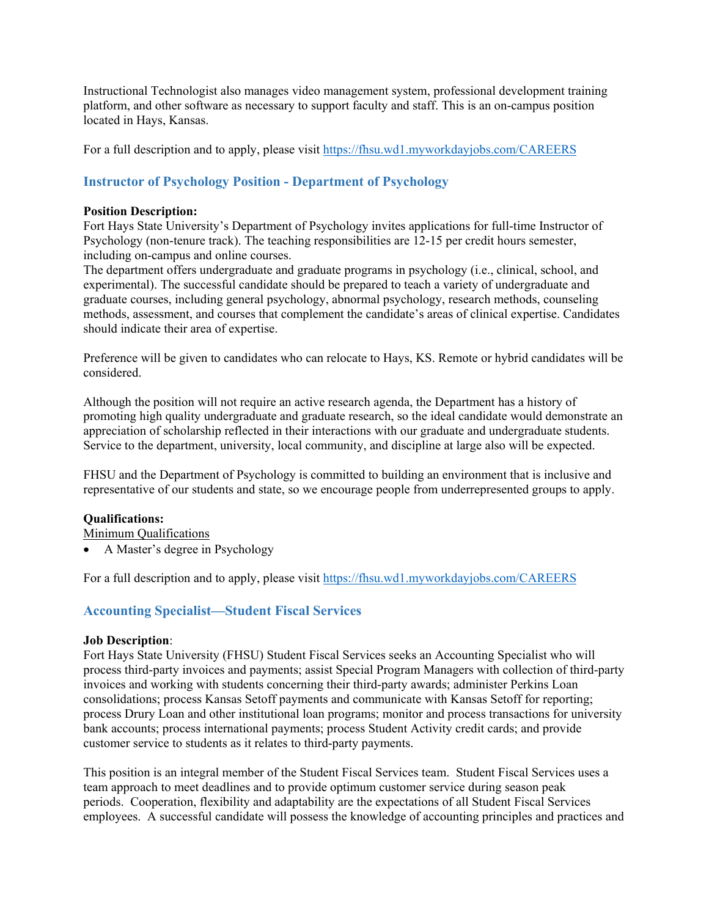Instructional Technologist also manages video management system, professional development training platform, and other software as necessary to support faculty and staff. This is an on-campus position located in Hays, Kansas.

For a full description and to apply, please visit<https://fhsu.wd1.myworkdayjobs.com/CAREERS>

## <span id="page-18-0"></span>**Instructor of Psychology Position - Department of Psychology**

#### **Position Description:**

Fort Hays State University's Department of Psychology invites applications for full-time Instructor of Psychology (non-tenure track). The teaching responsibilities are 12-15 per credit hours semester, including on-campus and online courses.

The department offers undergraduate and graduate programs in psychology (i.e., clinical, school, and experimental). The successful candidate should be prepared to teach a variety of undergraduate and graduate courses, including general psychology, abnormal psychology, research methods, counseling methods, assessment, and courses that complement the candidate's areas of clinical expertise. Candidates should indicate their area of expertise.

Preference will be given to candidates who can relocate to Hays, KS. Remote or hybrid candidates will be considered.

Although the position will not require an active research agenda, the Department has a history of promoting high quality undergraduate and graduate research, so the ideal candidate would demonstrate an appreciation of scholarship reflected in their interactions with our graduate and undergraduate students. Service to the department, university, local community, and discipline at large also will be expected.

FHSU and the Department of Psychology is committed to building an environment that is inclusive and representative of our students and state, so we encourage people from underrepresented groups to apply.

#### **Qualifications:**

Minimum Qualifications

• A Master's degree in Psychology

For a full description and to apply, please visit<https://fhsu.wd1.myworkdayjobs.com/CAREERS>

## <span id="page-18-1"></span>**Accounting Specialist—Student Fiscal Services**

#### **Job Description**:

Fort Hays State University (FHSU) Student Fiscal Services seeks an Accounting Specialist who will process third-party invoices and payments; assist Special Program Managers with collection of third-party invoices and working with students concerning their third-party awards; administer Perkins Loan consolidations; process Kansas Setoff payments and communicate with Kansas Setoff for reporting; process Drury Loan and other institutional loan programs; monitor and process transactions for university bank accounts; process international payments; process Student Activity credit cards; and provide customer service to students as it relates to third-party payments.

This position is an integral member of the Student Fiscal Services team. Student Fiscal Services uses a team approach to meet deadlines and to provide optimum customer service during season peak periods. Cooperation, flexibility and adaptability are the expectations of all Student Fiscal Services employees. A successful candidate will possess the knowledge of accounting principles and practices and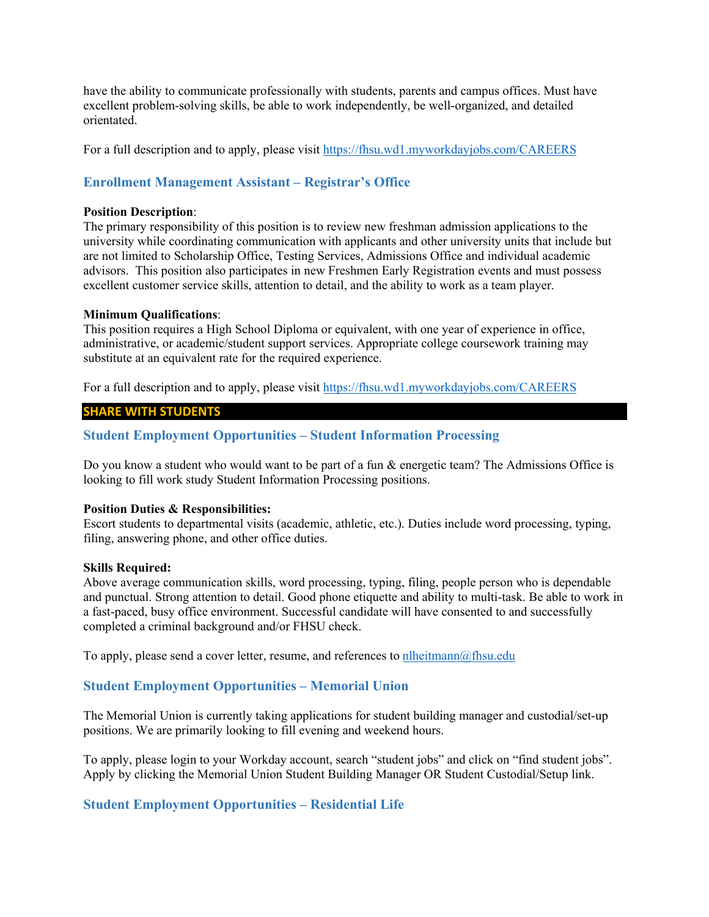have the ability to communicate professionally with students, parents and campus offices. Must have excellent problem-solving skills, be able to work independently, be well-organized, and detailed orientated.

For a full description and to apply, please visit<https://fhsu.wd1.myworkdayjobs.com/CAREERS>

## <span id="page-19-0"></span>**Enrollment Management Assistant – Registrar's Office**

#### **Position Description**:

The primary responsibility of this position is to review new freshman admission applications to the university while coordinating communication with applicants and other university units that include but are not limited to Scholarship Office, Testing Services, Admissions Office and individual academic advisors. This position also participates in new Freshmen Early Registration events and must possess excellent customer service skills, attention to detail, and the ability to work as a team player.

#### **Minimum Qualifications**:

This position requires a High School Diploma or equivalent, with one year of experience in office, administrative, or academic/student support services. Appropriate college coursework training may substitute at an equivalent rate for the required experience.

For a full description and to apply, please visit<https://fhsu.wd1.myworkdayjobs.com/CAREERS>

#### **SHARE WITH STUDENTS**

### <span id="page-19-1"></span>**Student Employment Opportunities – Student Information Processing**

Do you know a student who would want to be part of a fun & energetic team? The Admissions Office is looking to fill work study Student Information Processing positions.

#### **Position Duties & Responsibilities:**

Escort students to departmental visits (academic, athletic, etc.). Duties include word processing, typing, filing, answering phone, and other office duties.

#### **Skills Required:**

Above average communication skills, word processing, typing, filing, people person who is dependable and punctual. Strong attention to detail. Good phone etiquette and ability to multi-task. Be able to work in a fast-paced, busy office environment. Successful candidate will have consented to and successfully completed a criminal background and/or FHSU check.

To apply, please send a cover letter, resume, and references to  $n$ lheitmann $@$ fhsu.edu

#### <span id="page-19-2"></span>**Student Employment Opportunities – Memorial Union**

The Memorial Union is currently taking applications for student building manager and custodial/set-up positions. We are primarily looking to fill evening and weekend hours.

To apply, please login to your Workday account, search "student jobs" and click on "find student jobs". Apply by clicking the Memorial Union Student Building Manager OR Student Custodial/Setup link.

#### <span id="page-19-3"></span>**Student Employment Opportunities – Residential Life**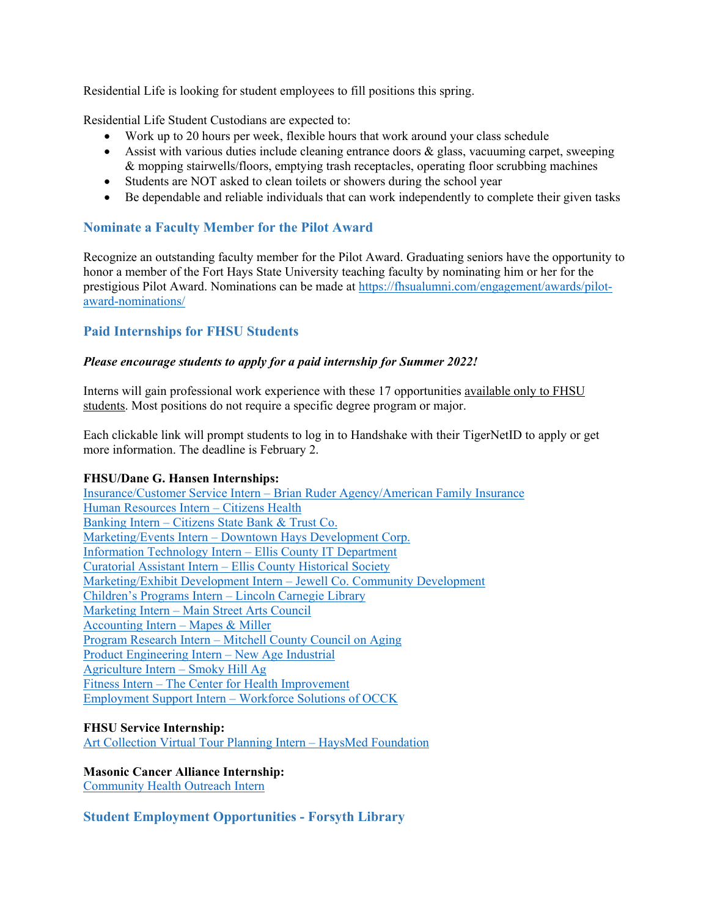Residential Life is looking for student employees to fill positions this spring.

Residential Life Student Custodians are expected to:

- Work up to 20 hours per week, flexible hours that work around your class schedule
- Assist with various duties include cleaning entrance doors  $\&$  glass, vacuuming carpet, sweeping & mopping stairwells/floors, emptying trash receptacles, operating floor scrubbing machines
- Students are NOT asked to clean toilets or showers during the school year
- Be dependable and reliable individuals that can work independently to complete their given tasks

## <span id="page-20-0"></span>**Nominate a Faculty Member for the Pilot Award**

Recognize an outstanding faculty member for the Pilot Award. Graduating seniors have the opportunity to honor a member of the Fort Hays State University teaching faculty by nominating him or her for the prestigious Pilot Award. Nominations can be made at [https://fhsualumni.com/engagement/awards/pilot](https://fhsualumni.com/engagement/awards/pilot-award-nominations/)[award-nominations/](https://fhsualumni.com/engagement/awards/pilot-award-nominations/)

## <span id="page-20-1"></span>**Paid Internships for FHSU Students**

### *Please encourage students to apply for a paid internship for Summer 2022!*

Interns will gain professional work experience with these 17 opportunities available only to FHSU students. Most positions do not require a specific degree program or major.

Each clickable link will prompt students to log in to Handshake with their TigerNetID to apply or get more information. The deadline is February 2.

#### **FHSU/Dane G. Hansen Internships:**

Insurance/Customer Service Intern – [Brian Ruder Agency/American Family Insurance](https://fhsu.joinhandshake.com/jobs/5752776/share_preview) [Human Resources Intern –](https://fhsu.joinhandshake.com/jobs/5704721/share_preview) Citizens Health Banking Intern – [Citizens State Bank & Trust Co.](https://fhsu.joinhandshake.com/jobs/5705333/share_preview) Marketing/Events Intern – [Downtown Hays Development Corp.](https://fhsu.joinhandshake.com/jobs/5757525/share_preview) [Information Technology Intern –](https://fhsu.joinhandshake.com/jobs/5758581/share_preview) Ellis County IT Department Curatorial Assistant Intern – [Ellis County Historical Society](https://fhsu.joinhandshake.com/jobs/5759572/share_preview) [Marketing/Exhibit Development Intern –](https://fhsu.joinhandshake.com/jobs/5708146/share_preview) Jewell Co. Community Development [Children's Programs Intern –](https://fhsu.joinhandshake.com/jobs/5714693/share_preview) Lincoln Carnegie Library Marketing Intern – [Main Street Arts Council](https://fhsu.joinhandshake.com/jobs/5739420/share_preview) [Accounting Intern –](https://fhsu.joinhandshake.com/jobs/5741215/share_preview) Mapes & Miller Program Research Intern – [Mitchell County Council on Aging](https://fhsu.joinhandshake.com/jobs/5743317/share_preview) [Product Engineering Intern –](https://fhsu.joinhandshake.com/jobs/5748400/share_preview) New Age Industrial [Agriculture Intern –](https://fhsu.joinhandshake.com/jobs/5749528/share_preview) Smoky Hill Ag Fitness Intern – [The Center for Health Improvement](https://fhsu.joinhandshake.com/jobs/5770425/share_preview) Employment Support Intern – [Workforce Solutions of OCCK](https://fhsu.joinhandshake.com/jobs/5752081/share_preview)

### **FHSU Service Internship:**

[Art Collection Virtual Tour Planning Intern –](https://fhsu.joinhandshake.com/jobs/5699269/share_preview) HaysMed Foundation

## **Masonic Cancer Alliance Internship:**

[Community Health Outreach Intern](https://fhsu.joinhandshake.com/jobs/5588789/share_preview)

## <span id="page-20-2"></span>**Student Employment Opportunities - Forsyth Library**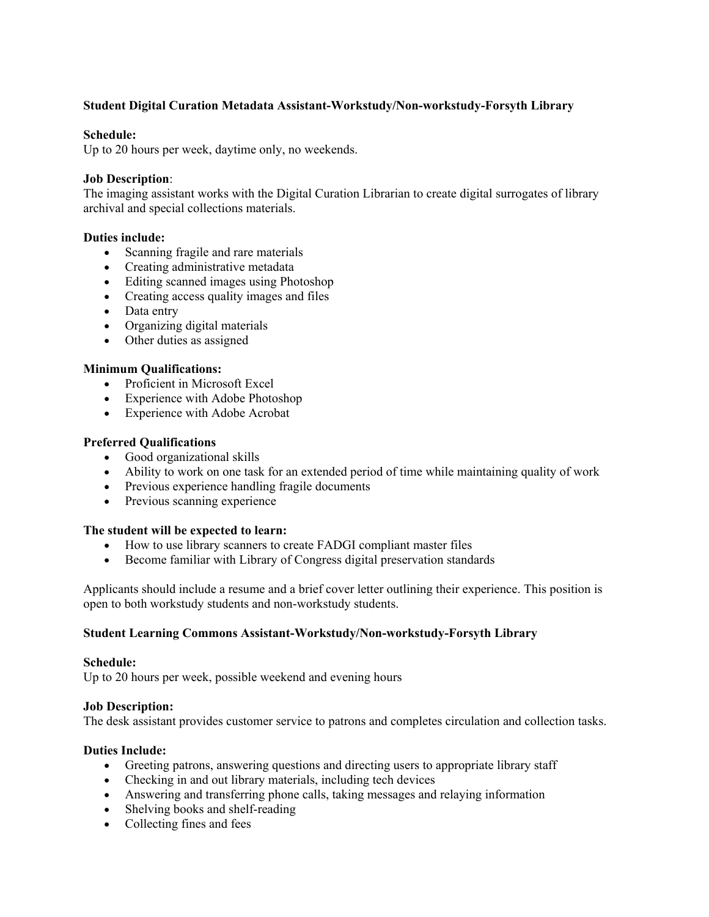### **Student Digital Curation Metadata Assistant-Workstudy/Non-workstudy-Forsyth Library**

#### **Schedule:**

Up to 20 hours per week, daytime only, no weekends.

#### **Job Description**:

The imaging assistant works with the Digital Curation Librarian to create digital surrogates of library archival and special collections materials.

#### **Duties include:**

- Scanning fragile and rare materials
- Creating administrative metadata
- Editing scanned images using Photoshop
- Creating access quality images and files
- Data entry
- Organizing digital materials
- Other duties as assigned

#### **Minimum Qualifications:**

- Proficient in Microsoft Excel
- Experience with Adobe Photoshop
- Experience with Adobe Acrobat

#### **Preferred Qualifications**

- Good organizational skills
- Ability to work on one task for an extended period of time while maintaining quality of work
- Previous experience handling fragile documents
- Previous scanning experience

#### **The student will be expected to learn:**

- How to use library scanners to create FADGI compliant master files
- Become familiar with Library of Congress digital preservation standards

Applicants should include a resume and a brief cover letter outlining their experience. This position is open to both workstudy students and non-workstudy students.

#### **Student Learning Commons Assistant-Workstudy/Non-workstudy-Forsyth Library**

#### **Schedule:**

Up to 20 hours per week, possible weekend and evening hours

#### **Job Description:**

The desk assistant provides customer service to patrons and completes circulation and collection tasks.

#### **Duties Include:**

- Greeting patrons, answering questions and directing users to appropriate library staff
- Checking in and out library materials, including tech devices
- Answering and transferring phone calls, taking messages and relaying information
- Shelving books and shelf-reading
- Collecting fines and fees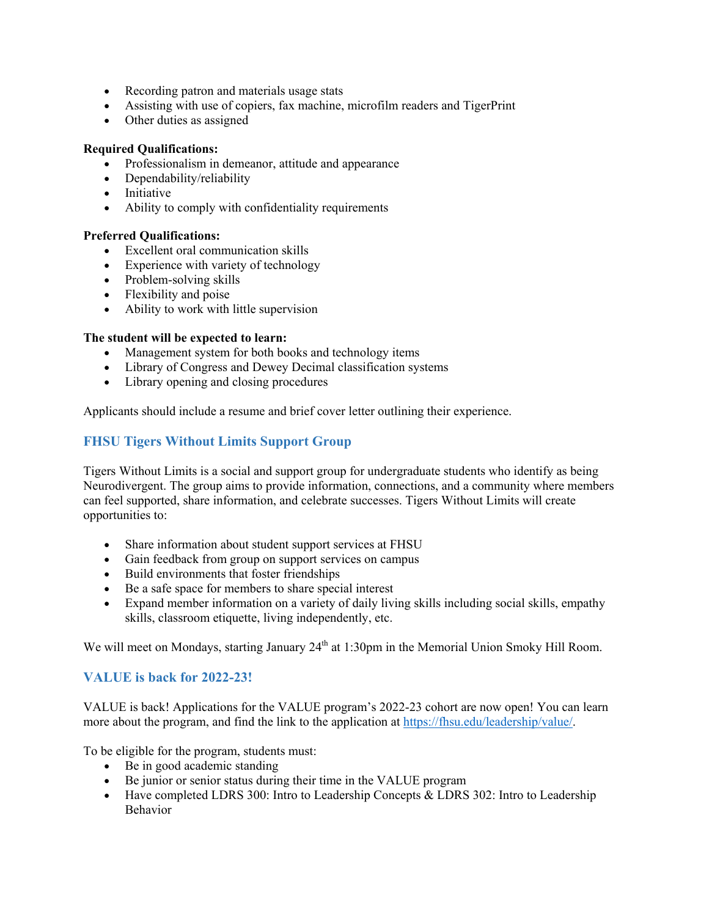- Recording patron and materials usage stats
- Assisting with use of copiers, fax machine, microfilm readers and TigerPrint
- Other duties as assigned

### **Required Qualifications:**

- Professionalism in demeanor, attitude and appearance
- Dependability/reliability
- Initiative
- Ability to comply with confidentiality requirements

### **Preferred Qualifications:**

- Excellent oral communication skills
- Experience with variety of technology
- Problem-solving skills
- Flexibility and poise
- Ability to work with little supervision

### **The student will be expected to learn:**

- Management system for both books and technology items
- Library of Congress and Dewey Decimal classification systems
- <span id="page-22-0"></span>• Library opening and closing procedures

Applicants should include a resume and brief cover letter outlining their experience.

## **FHSU Tigers Without Limits Support Group**

Tigers Without Limits is a social and support group for undergraduate students who identify as being Neurodivergent. The group aims to provide information, connections, and a community where members can feel supported, share information, and celebrate successes. Tigers Without Limits will create opportunities to:

- Share information about student support services at FHSU
- Gain feedback from group on support services on campus
- Build environments that foster friendships
- Be a safe space for members to share special interest
- Expand member information on a variety of daily living skills including social skills, empathy skills, classroom etiquette, living independently, etc.

We will meet on Mondays, starting January 24<sup>th</sup> at 1:30pm in the Memorial Union Smoky Hill Room.

## <span id="page-22-1"></span>**VALUE is back for 2022-23!**

VALUE is back! Applications for the VALUE program's 2022-23 cohort are now open! You can learn more about the program, and find the link to the application at [https://fhsu.edu/leadership/value/.](https://fhsu.edu/leadership/value/)

To be eligible for the program, students must:

- Be in good academic standing
- Be junior or senior status during their time in the VALUE program
- Have completed LDRS 300: Intro to Leadership Concepts & LDRS 302: Intro to Leadership Behavior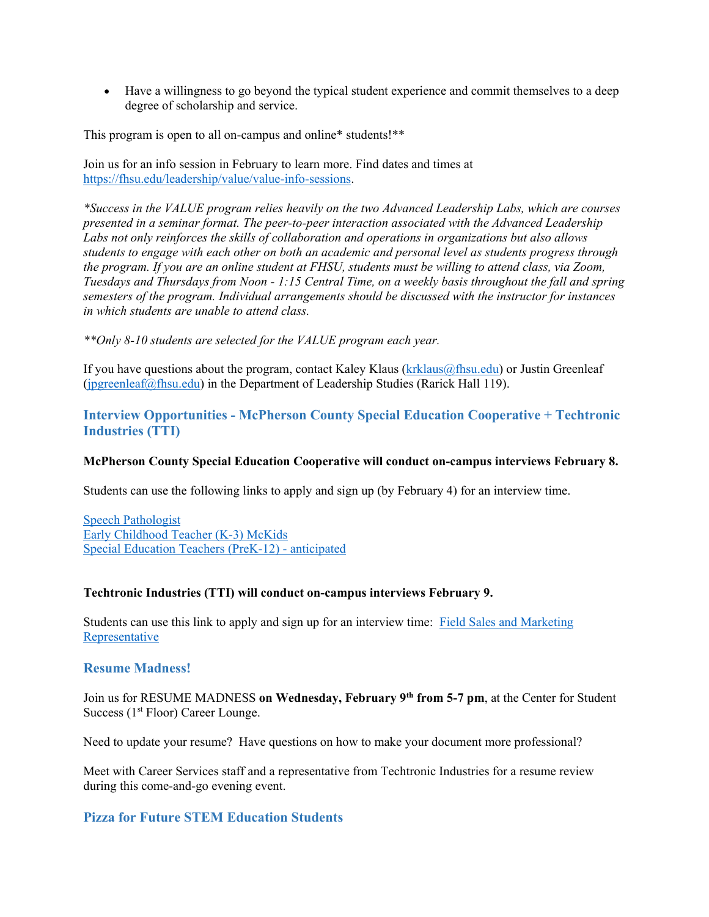• Have a willingness to go beyond the typical student experience and commit themselves to a deep degree of scholarship and service.

This program is open to all on-campus and online\* students!\*\*

Join us for an info session in February to learn more. Find dates and times at [https://fhsu.edu/leadership/value/value-info-sessions.](https://fhsu.edu/leadership/value/value-info-sessions) 

*\*Success in the VALUE program relies heavily on the two Advanced Leadership Labs, which are courses presented in a seminar format. The peer-to-peer interaction associated with the Advanced Leadership Labs not only reinforces the skills of collaboration and operations in organizations but also allows students to engage with each other on both an academic and personal level as students progress through the program. If you are an online student at FHSU, students must be willing to attend class, via Zoom, Tuesdays and Thursdays from Noon - 1:15 Central Time, on a weekly basis throughout the fall and spring semesters of the program. Individual arrangements should be discussed with the instructor for instances in which students are unable to attend class.*

*\*\*Only 8-10 students are selected for the VALUE program each year.*

If you have questions about the program, contact Kaley Klaus  $(krklaus@fhsu.edu)$  or Justin Greenleaf [\(jpgreenleaf@fhsu.edu\)](mailto:jpgreenleaf@fhsu.edu) in the Department of Leadership Studies (Rarick Hall 119).

## <span id="page-23-0"></span>**Interview Opportunities - McPherson County Special Education Cooperative + Techtronic Industries (TTI)**

#### **McPherson County Special Education Cooperative will conduct on-campus interviews February 8.**

Students can use the following links to apply and sign up (by February 4) for an interview time.

[Speech Pathologist](https://fhsu.joinhandshake.com/jobs/5762496/share_preview) [Early Childhood Teacher \(K-3\) McKids](https://fhsu.joinhandshake.com/jobs/5764246/share_preview) [Special Education Teachers \(PreK-12\) -](https://fhsu.joinhandshake.com/jobs/5678196/share_preview) anticipated

#### **Techtronic Industries (TTI) will conduct on-campus interviews February 9.**

Students can use this link to apply and sign up for an interview time: [Field Sales and Marketing](https://fhsu.joinhandshake.com/jobs/5834065/share_preview)  **[Representative](https://fhsu.joinhandshake.com/jobs/5834065/share_preview)** 

#### <span id="page-23-1"></span>**Resume Madness!**

Join us for RESUME MADNESS **on Wednesday, February 9th from 5-7 pm**, at the Center for Student Success (1<sup>st</sup> Floor) Career Lounge.

Need to update your resume? Have questions on how to make your document more professional?

Meet with Career Services staff and a representative from Techtronic Industries for a resume review during this come-and-go evening event.

### <span id="page-23-2"></span>**Pizza for Future STEM Education Students**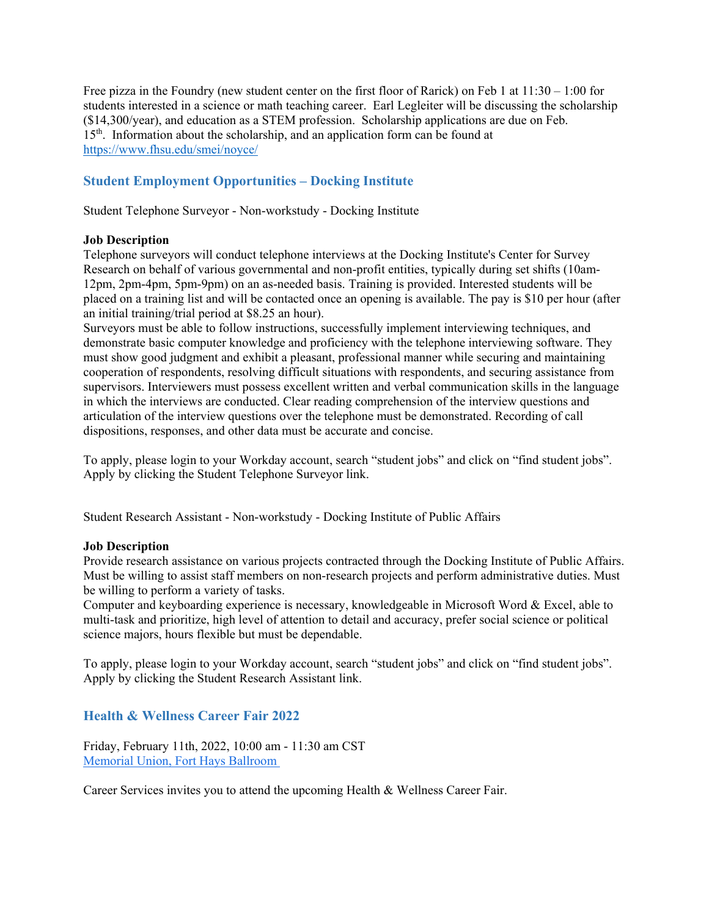Free pizza in the Foundry (new student center on the first floor of Rarick) on Feb 1 at 11:30 – 1:00 for students interested in a science or math teaching career. Earl Legleiter will be discussing the scholarship (\$14,300/year), and education as a STEM profession. Scholarship applications are due on Feb.  $15<sup>th</sup>$ . Information about the scholarship, and an application form can be found at <https://www.fhsu.edu/smei/noyce/>

## <span id="page-24-0"></span>**Student Employment Opportunities – Docking Institute**

Student Telephone Surveyor - Non-workstudy - Docking Institute

#### **Job Description**

Telephone surveyors will conduct telephone interviews at the Docking Institute's Center for Survey Research on behalf of various governmental and non-profit entities, typically during set shifts (10am-12pm, 2pm-4pm, 5pm-9pm) on an as-needed basis. Training is provided. Interested students will be placed on a training list and will be contacted once an opening is available. The pay is \$10 per hour (after an initial training/trial period at \$8.25 an hour).

Surveyors must be able to follow instructions, successfully implement interviewing techniques, and demonstrate basic computer knowledge and proficiency with the telephone interviewing software. They must show good judgment and exhibit a pleasant, professional manner while securing and maintaining cooperation of respondents, resolving difficult situations with respondents, and securing assistance from supervisors. Interviewers must possess excellent written and verbal communication skills in the language in which the interviews are conducted. Clear reading comprehension of the interview questions and articulation of the interview questions over the telephone must be demonstrated. Recording of call dispositions, responses, and other data must be accurate and concise.

To apply, please login to your Workday account, search "student jobs" and click on "find student jobs". Apply by clicking the Student Telephone Surveyor link.

Student Research Assistant - Non-workstudy - Docking Institute of Public Affairs

#### **Job Description**

Provide research assistance on various projects contracted through the Docking Institute of Public Affairs. Must be willing to assist staff members on non-research projects and perform administrative duties. Must be willing to perform a variety of tasks.

Computer and keyboarding experience is necessary, knowledgeable in Microsoft Word & Excel, able to multi-task and prioritize, high level of attention to detail and accuracy, prefer social science or political science majors, hours flexible but must be dependable.

To apply, please login to your Workday account, search "student jobs" and click on "find student jobs". Apply by clicking the Student Research Assistant link.

#### <span id="page-24-1"></span>**Health & Wellness Career Fair 2022**

Friday, February 11th, 2022, 10:00 am - 11:30 am CST [Memorial Union, Fort Hays Ballroom](http://maps.google.com/?q=Memorial%20Union,%20Fort%20Hays%20Ballroom)

Career Services invites you to attend the upcoming Health & Wellness Career Fair.